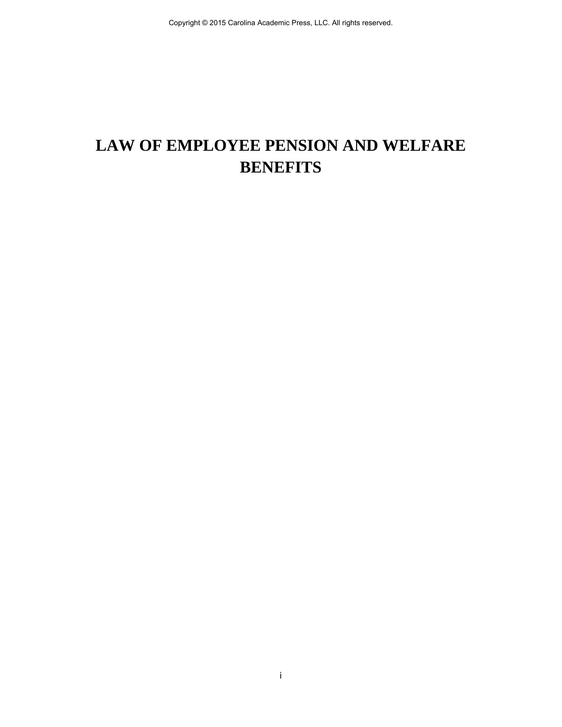# **LAW OF EMPLOYEE PENSION AND WELFARE BENEFITS**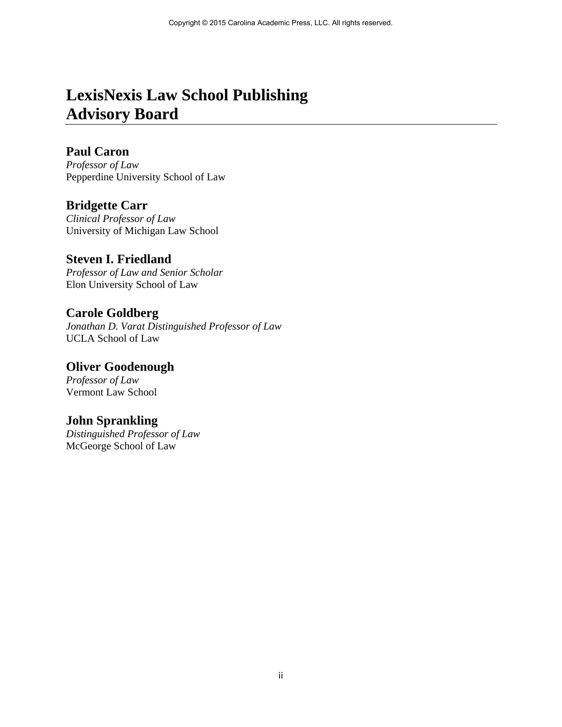# **LexisNexis Law School Publishing Advisory Board**

## **Paul Caron**

*Professor of Law*  Pepperdine University School of Law

**Bridgette Carr** 

*Clinical Professor of Law*  University of Michigan Law School

### **Steven I. Friedland**

*Professor of Law and Senior Scholar*  Elon University School of Law

## **Carole Goldberg**

*Jonathan D. Varat Distinguished Professor of Law*  UCLA School of Law

**Oliver Goodenough**  *Professor of Law*  Vermont Law School

## **John Sprankling**

*Distinguished Professor of Law*  McGeorge School of Law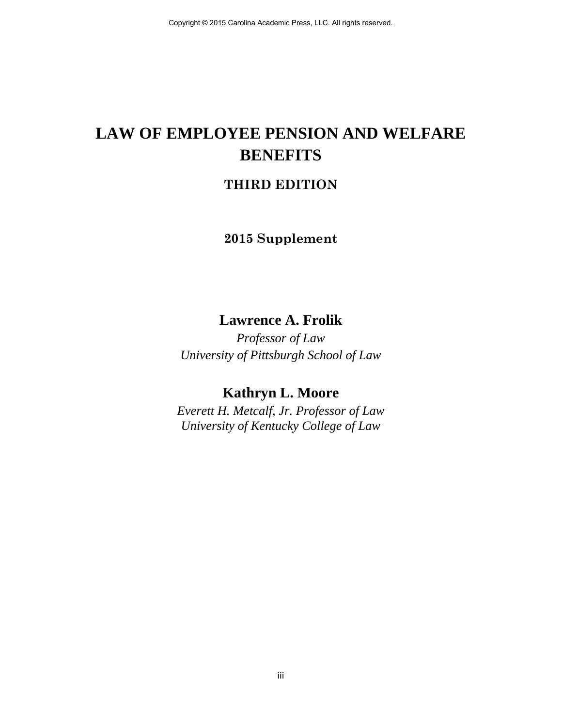# **LAW OF EMPLOYEE PENSION AND WELFARE BENEFITS**

## **THIRD EDITION**

**2015 Supplement** 

## **Lawrence A. Frolik**

*Professor of Law University of Pittsburgh School of Law* 

## **Kathryn L. Moore**

*Everett H. Metcalf, Jr. Professor of Law University of Kentucky College of Law*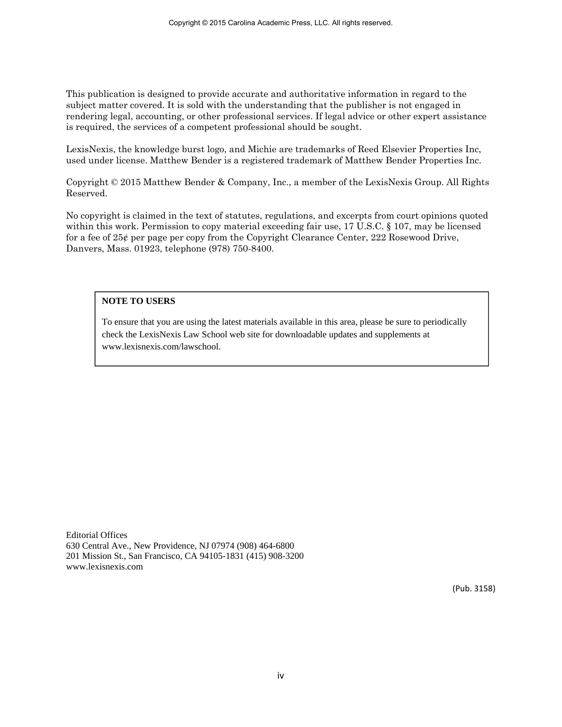This publication is designed to provide accurate and authoritative information in regard to the subject matter covered. It is sold with the understanding that the publisher is not engaged in rendering legal, accounting, or other professional services. If legal advice or other expert assistance is required, the services of a competent professional should be sought.

LexisNexis, the knowledge burst logo, and Michie are trademarks of Reed Elsevier Properties Inc, used under license. Matthew Bender is a registered trademark of Matthew Bender Properties Inc.

Copyright © 2015 Matthew Bender & Company, Inc., a member of the LexisNexis Group. All Rights Reserved.

No copyright is claimed in the text of statutes, regulations, and excerpts from court opinions quoted within this work. Permission to copy material exceeding fair use, 17 U.S.C. § 107, may be licensed for a fee of 25¢ per page per copy from the Copyright Clearance Center, 222 Rosewood Drive, Danvers, Mass. 01923, telephone (978) 750-8400.

#### **NOTE TO USERS**

To ensure that you are using the latest materials available in this area, please be sure to periodically check the LexisNexis Law School web site for downloadable updates and supplements at www.lexisnexis.com/lawschool.

Editorial Offices 630 Central Ave., New Providence, NJ 07974 (908) 464-6800 201 Mission St., San Francisco, CA 94105-1831 (415) 908-3200 www.lexisnexis.com

(Pub. 3158)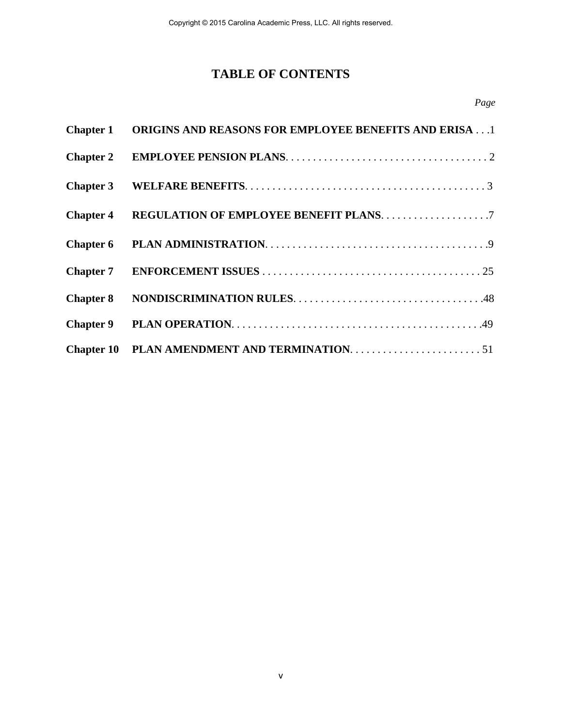## **TABLE OF CONTENTS**

| <b>Chapter 1</b> | <b>ORIGINS AND REASONS FOR EMPLOYEE BENEFITS AND ERISA  1</b> |
|------------------|---------------------------------------------------------------|
| <b>Chapter 2</b> |                                                               |
| <b>Chapter 3</b> |                                                               |
| <b>Chapter 4</b> |                                                               |
| <b>Chapter 6</b> |                                                               |
| <b>Chapter 7</b> |                                                               |
| <b>Chapter 8</b> |                                                               |
| <b>Chapter 9</b> |                                                               |
|                  |                                                               |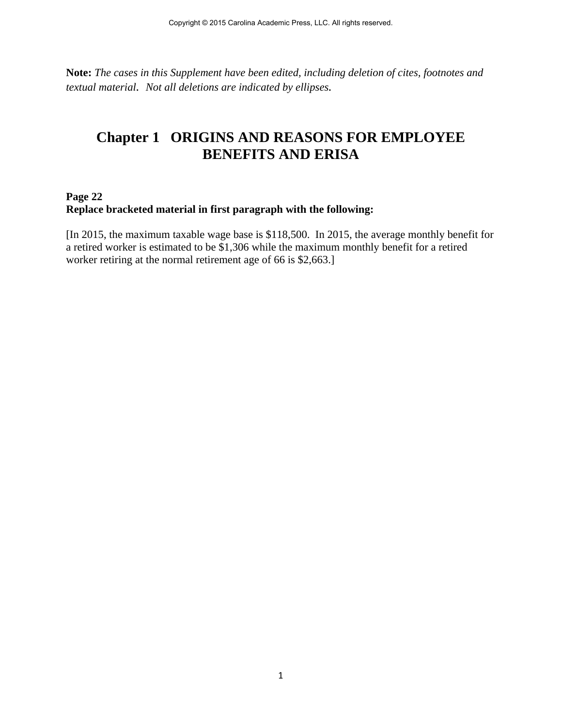**Note:** *The cases in this Supplement have been edited, including deletion of cites, footnotes and textual material. Not all deletions are indicated by ellipses.*

## **Chapter 1 ORIGINS AND REASONS FOR EMPLOYEE BENEFITS AND ERISA**

#### **Page 22 Replace bracketed material in first paragraph with the following:**

[In 2015, the maximum taxable wage base is \$118,500. In 2015, the average monthly benefit for a retired worker is estimated to be \$1,306 while the maximum monthly benefit for a retired worker retiring at the normal retirement age of 66 is \$2,663.]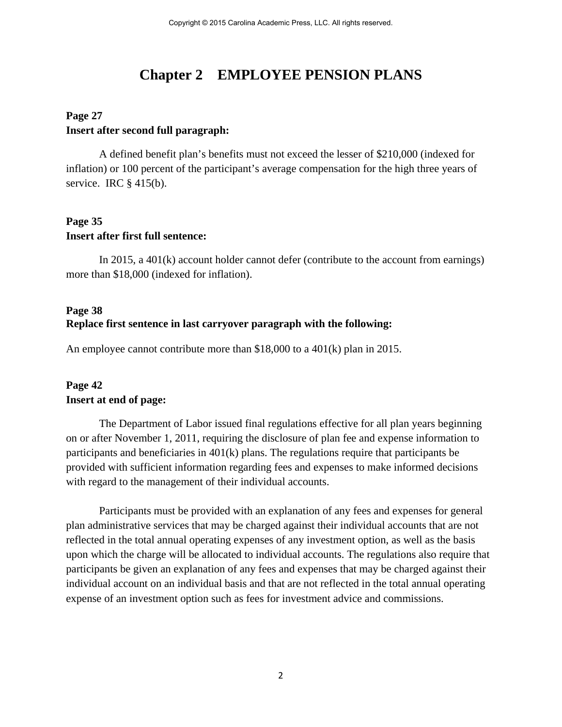## **Chapter 2 EMPLOYEE PENSION PLANS**

#### **Page 27 Insert after second full paragraph:**

 A defined benefit plan's benefits must not exceed the lesser of \$210,000 (indexed for inflation) or 100 percent of the participant's average compensation for the high three years of service. IRC § 415(b).

### **Page 35 Insert after first full sentence:**

 In 2015, a 401(k) account holder cannot defer (contribute to the account from earnings) more than \$18,000 (indexed for inflation).

### **Page 38 Replace first sentence in last carryover paragraph with the following:**

An employee cannot contribute more than \$18,000 to a 401(k) plan in 2015.

## **Page 42 Insert at end of page:**

 The Department of Labor issued final regulations effective for all plan years beginning on or after November 1, 2011, requiring the disclosure of plan fee and expense information to participants and beneficiaries in  $401(k)$  plans. The regulations require that participants be provided with sufficient information regarding fees and expenses to make informed decisions with regard to the management of their individual accounts.

 Participants must be provided with an explanation of any fees and expenses for general plan administrative services that may be charged against their individual accounts that are not reflected in the total annual operating expenses of any investment option, as well as the basis upon which the charge will be allocated to individual accounts. The regulations also require that participants be given an explanation of any fees and expenses that may be charged against their individual account on an individual basis and that are not reflected in the total annual operating expense of an investment option such as fees for investment advice and commissions.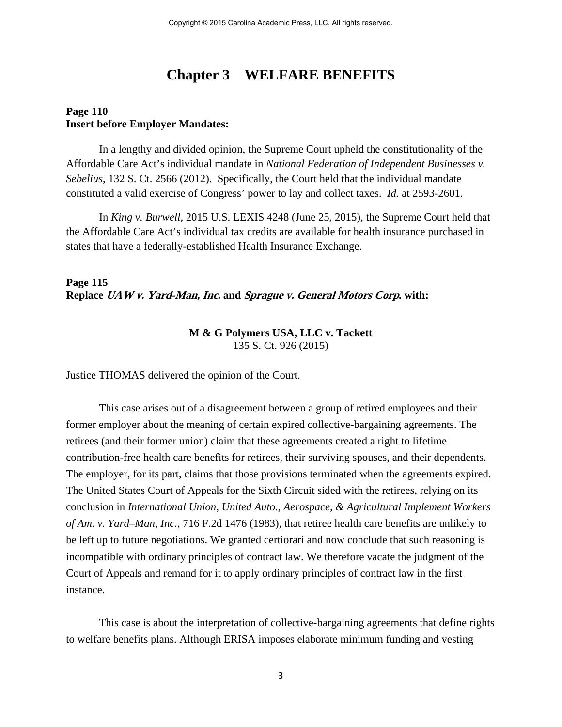## **Chapter 3 WELFARE BENEFITS**

#### **Page 110 Insert before Employer Mandates:**

In a lengthy and divided opinion, the Supreme Court upheld the constitutionality of the Affordable Care Act's individual mandate in *National Federation of Independent Businesses v. Sebelius*, 132 S. Ct. 2566 (2012). Specifically, the Court held that the individual mandate constituted a valid exercise of Congress' power to lay and collect taxes. *Id.* at 2593-2601.

In *King v. Burwell,* 2015 U.S. LEXIS 4248 (June 25, 2015)*,* the Supreme Court held that the Affordable Care Act's individual tax credits are available for health insurance purchased in states that have a federally-established Health Insurance Exchange.

#### **Page 115 Replace UAW v. Yard-Man, Inc. and Sprague v. General Motors Corp. with:**

#### **M & G Polymers USA, LLC v. Tackett**  135 S. Ct. 926 (2015)

Justice THOMAS delivered the opinion of the Court.

This case arises out of a disagreement between a group of retired employees and their former employer about the meaning of certain expired collective-bargaining agreements. The retirees (and their former union) claim that these agreements created a right to lifetime contribution-free health care benefits for retirees, their surviving spouses, and their dependents. The employer, for its part, claims that those provisions terminated when the agreements expired. The United States Court of Appeals for the Sixth Circuit sided with the retirees, relying on its conclusion in *International Union, United Auto., Aerospace, & Agricultural Implement Workers of Am. v. Yard–Man, Inc.,* 716 F.2d 1476 (1983), that retiree health care benefits are unlikely to be left up to future negotiations. We granted certiorari and now conclude that such reasoning is incompatible with ordinary principles of contract law. We therefore vacate the judgment of the Court of Appeals and remand for it to apply ordinary principles of contract law in the first instance.

This case is about the interpretation of collective-bargaining agreements that define rights to welfare benefits plans. Although ERISA imposes elaborate minimum funding and vesting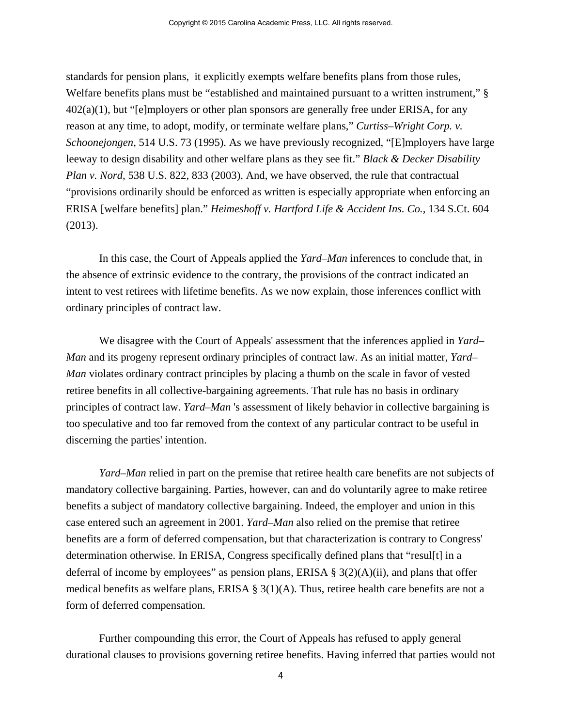standards for pension plans, it explicitly exempts welfare benefits plans from those rules, Welfare benefits plans must be "established and maintained pursuant to a written instrument," §  $402(a)(1)$ , but "[e]mployers or other plan sponsors are generally free under ERISA, for any reason at any time, to adopt, modify, or terminate welfare plans," *Curtiss–Wright Corp. v. Schoonejongen,* 514 U.S. 73 (1995). As we have previously recognized, "[E]mployers have large leeway to design disability and other welfare plans as they see fit." *Black & Decker Disability Plan v. Nord,* 538 U.S. 822, 833 (2003). And, we have observed, the rule that contractual "provisions ordinarily should be enforced as written is especially appropriate when enforcing an ERISA [welfare benefits] plan." *Heimeshoff v. Hartford Life & Accident Ins. Co.,* 134 S.Ct. 604 (2013).

In this case, the Court of Appeals applied the *Yard–Man* inferences to conclude that, in the absence of extrinsic evidence to the contrary, the provisions of the contract indicated an intent to vest retirees with lifetime benefits. As we now explain, those inferences conflict with ordinary principles of contract law.

We disagree with the Court of Appeals' assessment that the inferences applied in *Yard– Man* and its progeny represent ordinary principles of contract law. As an initial matter, *Yard– Man* violates ordinary contract principles by placing a thumb on the scale in favor of vested retiree benefits in all collective-bargaining agreements. That rule has no basis in ordinary principles of contract law. *Yard–Man* 's assessment of likely behavior in collective bargaining is too speculative and too far removed from the context of any particular contract to be useful in discerning the parties' intention.

*Yard–Man* relied in part on the premise that retiree health care benefits are not subjects of mandatory collective bargaining. Parties, however, can and do voluntarily agree to make retiree benefits a subject of mandatory collective bargaining. Indeed, the employer and union in this case entered such an agreement in 2001. *Yard–Man* also relied on the premise that retiree benefits are a form of deferred compensation, but that characterization is contrary to Congress' determination otherwise. In ERISA, Congress specifically defined plans that "resul[t] in a deferral of income by employees" as pension plans, ERISA  $\S 3(2)(A)(ii)$ , and plans that offer medical benefits as welfare plans, ERISA §  $3(1)(A)$ . Thus, retiree health care benefits are not a form of deferred compensation.

Further compounding this error, the Court of Appeals has refused to apply general durational clauses to provisions governing retiree benefits. Having inferred that parties would not

4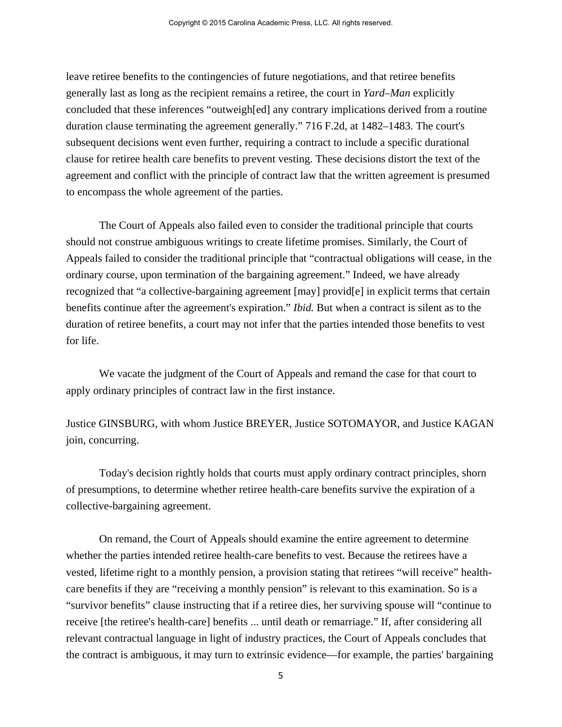leave retiree benefits to the contingencies of future negotiations, and that retiree benefits generally last as long as the recipient remains a retiree, the court in *Yard–Man* explicitly concluded that these inferences "outweigh[ed] any contrary implications derived from a routine duration clause terminating the agreement generally." 716 F.2d, at 1482–1483. The court's subsequent decisions went even further, requiring a contract to include a specific durational clause for retiree health care benefits to prevent vesting. These decisions distort the text of the agreement and conflict with the principle of contract law that the written agreement is presumed to encompass the whole agreement of the parties.

The Court of Appeals also failed even to consider the traditional principle that courts should not construe ambiguous writings to create lifetime promises. Similarly, the Court of Appeals failed to consider the traditional principle that "contractual obligations will cease, in the ordinary course, upon termination of the bargaining agreement." Indeed, we have already recognized that "a collective-bargaining agreement [may] provid[e] in explicit terms that certain benefits continue after the agreement's expiration." *Ibid.* But when a contract is silent as to the duration of retiree benefits, a court may not infer that the parties intended those benefits to vest for life.

We vacate the judgment of the Court of Appeals and remand the case for that court to apply ordinary principles of contract law in the first instance.

Justice GINSBURG, with whom Justice BREYER, Justice SOTOMAYOR, and Justice KAGAN join, concurring.

Today's decision rightly holds that courts must apply ordinary contract principles, shorn of presumptions, to determine whether retiree health-care benefits survive the expiration of a collective-bargaining agreement.

On remand, the Court of Appeals should examine the entire agreement to determine whether the parties intended retiree health-care benefits to vest. Because the retirees have a vested, lifetime right to a monthly pension, a provision stating that retirees "will receive" healthcare benefits if they are "receiving a monthly pension" is relevant to this examination. So is a "survivor benefits" clause instructing that if a retiree dies, her surviving spouse will "continue to receive [the retiree's health-care] benefits ... until death or remarriage." If, after considering all relevant contractual language in light of industry practices, the Court of Appeals concludes that the contract is ambiguous, it may turn to extrinsic evidence—for example, the parties' bargaining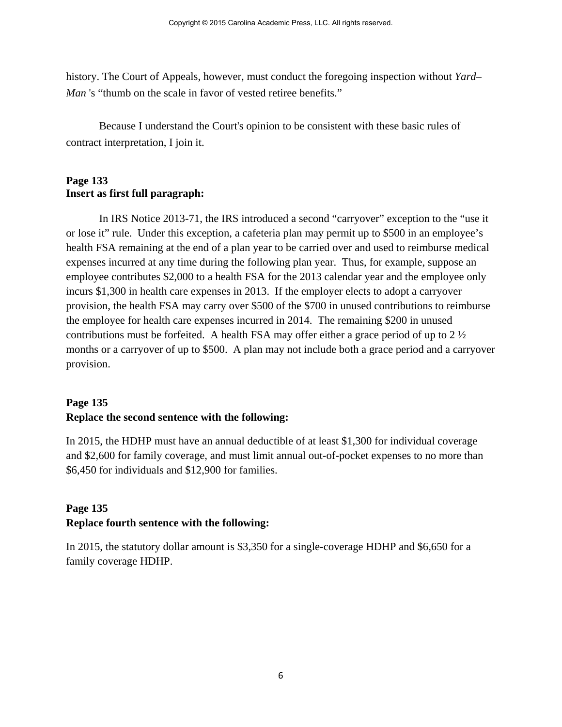history. The Court of Appeals, however, must conduct the foregoing inspection without *Yard– Man* 's "thumb on the scale in favor of vested retiree benefits."

Because I understand the Court's opinion to be consistent with these basic rules of contract interpretation, I join it.

#### **Page 133 Insert as first full paragraph:**

In IRS Notice 2013-71, the IRS introduced a second "carryover" exception to the "use it or lose it" rule. Under this exception, a cafeteria plan may permit up to \$500 in an employee's health FSA remaining at the end of a plan year to be carried over and used to reimburse medical expenses incurred at any time during the following plan year. Thus, for example, suppose an employee contributes \$2,000 to a health FSA for the 2013 calendar year and the employee only incurs \$1,300 in health care expenses in 2013. If the employer elects to adopt a carryover provision, the health FSA may carry over \$500 of the \$700 in unused contributions to reimburse the employee for health care expenses incurred in 2014. The remaining \$200 in unused contributions must be forfeited. A health FSA may offer either a grace period of up to 2 ½ months or a carryover of up to \$500. A plan may not include both a grace period and a carryover provision.

## **Page 135 Replace the second sentence with the following:**

In 2015, the HDHP must have an annual deductible of at least \$1,300 for individual coverage and \$2,600 for family coverage, and must limit annual out-of-pocket expenses to no more than \$6,450 for individuals and \$12,900 for families.

### **Page 135 Replace fourth sentence with the following:**

In 2015, the statutory dollar amount is \$3,350 for a single-coverage HDHP and \$6,650 for a family coverage HDHP.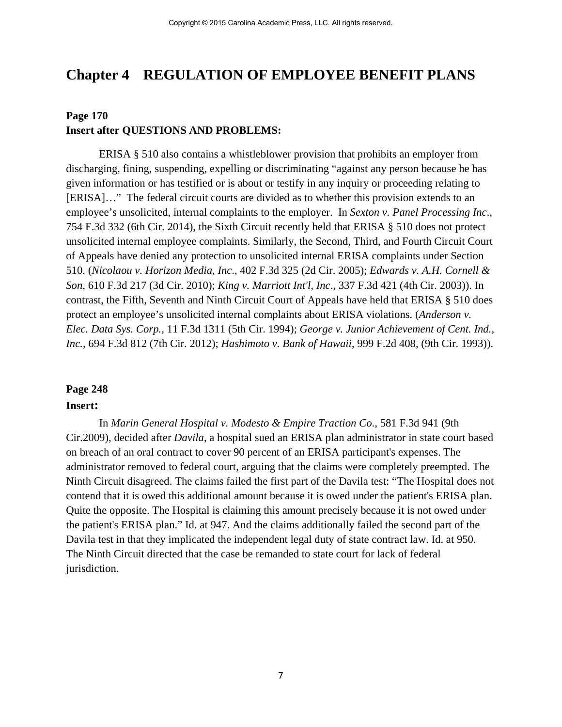## **Chapter 4 REGULATION OF EMPLOYEE BENEFIT PLANS**

### **Page 170 Insert after QUESTIONS AND PROBLEMS:**

ERISA § 510 also contains a whistleblower provision that prohibits an employer from discharging, fining, suspending, expelling or discriminating "against any person because he has given information or has testified or is about or testify in any inquiry or proceeding relating to [ERISA]…" The federal circuit courts are divided as to whether this provision extends to an employee's unsolicited, internal complaints to the employer. In *Sexton v. Panel Processing Inc*., 754 F.3d 332 (6th Cir. 2014), the Sixth Circuit recently held that ERISA § 510 does not protect unsolicited internal employee complaints. Similarly, the Second, Third, and Fourth Circuit Court of Appeals have denied any protection to unsolicited internal ERISA complaints under Section 510. (*Nicolaou v. Horizon Media, Inc*., 402 F.3d 325 (2d Cir. 2005); *Edwards v. A.H. Cornell & Son*, 610 F.3d 217 (3d Cir. 2010); *King v. Marriott Int'l, Inc*., 337 F.3d 421 (4th Cir. 2003)). In contrast, the Fifth, Seventh and Ninth Circuit Court of Appeals have held that ERISA § 510 does protect an employee's unsolicited internal complaints about ERISA violations. (*Anderson v. Elec. Data Sys. Corp.,* 11 F.3d 1311 (5th Cir. 1994); *George v. Junior Achievement of Cent. Ind., Inc.,* 694 F.3d 812 (7th Cir. 2012); *Hashimoto v. Bank of Hawaii*, 999 F.2d 408, (9th Cir. 1993)).

#### **Page 248**

#### **Insert:**

In *Marin General Hospital v. Modesto & Empire Traction Co*., 581 F.3d 941 (9th Cir.2009), decided after *Davila*, a hospital sued an ERISA plan administrator in state court based on breach of an oral contract to cover 90 percent of an ERISA participant's expenses. The administrator removed to federal court, arguing that the claims were completely preempted. The Ninth Circuit disagreed. The claims failed the first part of the Davila test: "The Hospital does not contend that it is owed this additional amount because it is owed under the patient's ERISA plan. Quite the opposite. The Hospital is claiming this amount precisely because it is not owed under the patient's ERISA plan." Id. at 947. And the claims additionally failed the second part of the Davila test in that they implicated the independent legal duty of state contract law. Id. at 950. The Ninth Circuit directed that the case be remanded to state court for lack of federal jurisdiction.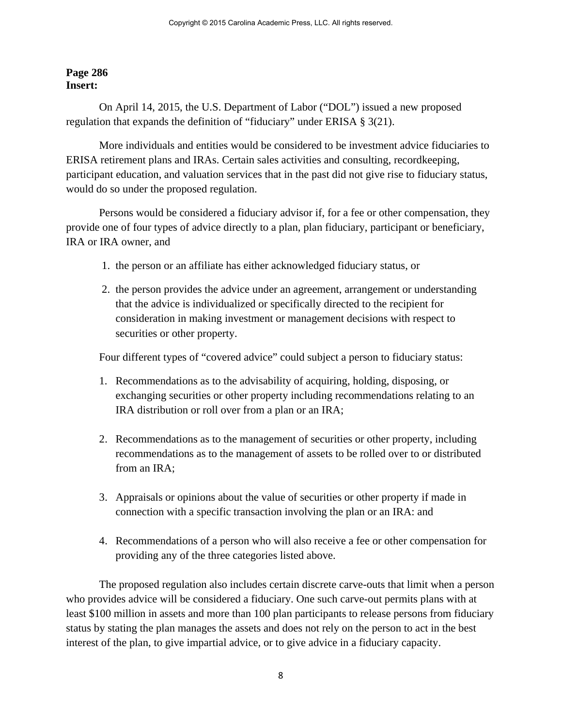#### **Page 286 Insert:**

On April 14, 2015, the U.S. Department of Labor ("DOL") issued a new proposed regulation that expands the definition of "fiduciary" under ERISA § 3(21).

 More individuals and entities would be considered to be investment advice fiduciaries to ERISA retirement plans and IRAs. Certain sales activities and consulting, recordkeeping, participant education, and valuation services that in the past did not give rise to fiduciary status, would do so under the proposed regulation.

 Persons would be considered a fiduciary advisor if, for a fee or other compensation, they provide one of four types of advice directly to a plan, plan fiduciary, participant or beneficiary, IRA or IRA owner, and

- 1. the person or an affiliate has either acknowledged fiduciary status, or
- 2. the person provides the advice under an agreement, arrangement or understanding that the advice is individualized or specifically directed to the recipient for consideration in making investment or management decisions with respect to securities or other property.

Four different types of "covered advice" could subject a person to fiduciary status:

- 1. Recommendations as to the advisability of acquiring, holding, disposing, or exchanging securities or other property including recommendations relating to an IRA distribution or roll over from a plan or an IRA;
- 2. Recommendations as to the management of securities or other property, including recommendations as to the management of assets to be rolled over to or distributed from an IRA;
- 3. Appraisals or opinions about the value of securities or other property if made in connection with a specific transaction involving the plan or an IRA: and
- 4. Recommendations of a person who will also receive a fee or other compensation for providing any of the three categories listed above.

The proposed regulation also includes certain discrete carve-outs that limit when a person who provides advice will be considered a fiduciary. One such carve-out permits plans with at least \$100 million in assets and more than 100 plan participants to release persons from fiduciary status by stating the plan manages the assets and does not rely on the person to act in the best interest of the plan, to give impartial advice, or to give advice in a fiduciary capacity.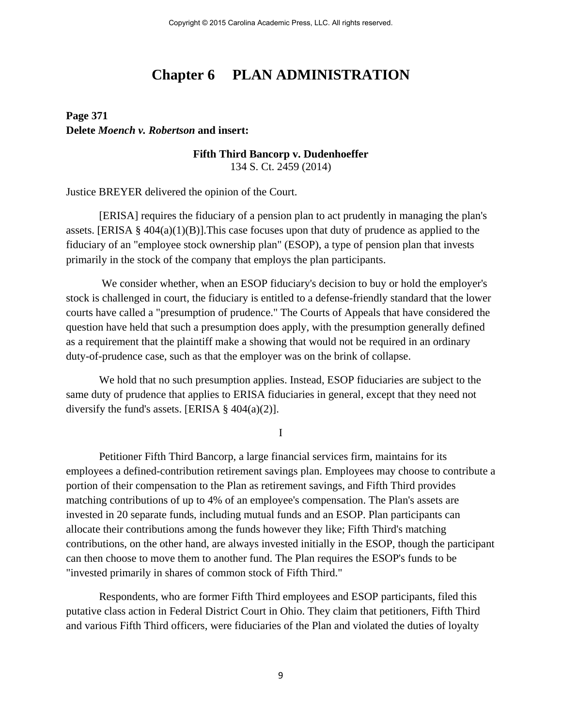## **Chapter 6 PLAN ADMINISTRATION**

**Page 371 Delete** *Moench v. Robertson* **and insert:** 

#### **Fifth Third Bancorp v. Dudenhoeffer**

134 S. Ct. 2459 (2014)

Justice BREYER delivered the opinion of the Court.

[ERISA] requires the fiduciary of a pension plan to act prudently in managing the plan's assets. [ERISA  $\S$  404(a)(1)(B)]. This case focuses upon that duty of prudence as applied to the fiduciary of an "employee stock ownership plan" (ESOP), a type of pension plan that invests primarily in the stock of the company that employs the plan participants.

 We consider whether, when an ESOP fiduciary's decision to buy or hold the employer's stock is challenged in court, the fiduciary is entitled to a defense-friendly standard that the lower courts have called a "presumption of prudence." The Courts of Appeals that have considered the question have held that such a presumption does apply, with the presumption generally defined as a requirement that the plaintiff make a showing that would not be required in an ordinary duty-of-prudence case, such as that the employer was on the brink of collapse.

We hold that no such presumption applies. Instead, ESOP fiduciaries are subject to the same duty of prudence that applies to ERISA fiduciaries in general, except that they need not diversify the fund's assets. [ERISA  $\S$  404(a)(2)].

I

 Petitioner Fifth Third Bancorp, a large financial services firm, maintains for its employees a defined-contribution retirement savings plan. Employees may choose to contribute a portion of their compensation to the Plan as retirement savings, and Fifth Third provides matching contributions of up to 4% of an employee's compensation. The Plan's assets are invested in 20 separate funds, including mutual funds and an ESOP. Plan participants can allocate their contributions among the funds however they like; Fifth Third's matching contributions, on the other hand, are always invested initially in the ESOP, though the participant can then choose to move them to another fund. The Plan requires the ESOP's funds to be "invested primarily in shares of common stock of Fifth Third."

 Respondents, who are former Fifth Third employees and ESOP participants, filed this putative class action in Federal District Court in Ohio. They claim that petitioners, Fifth Third and various Fifth Third officers, were fiduciaries of the Plan and violated the duties of loyalty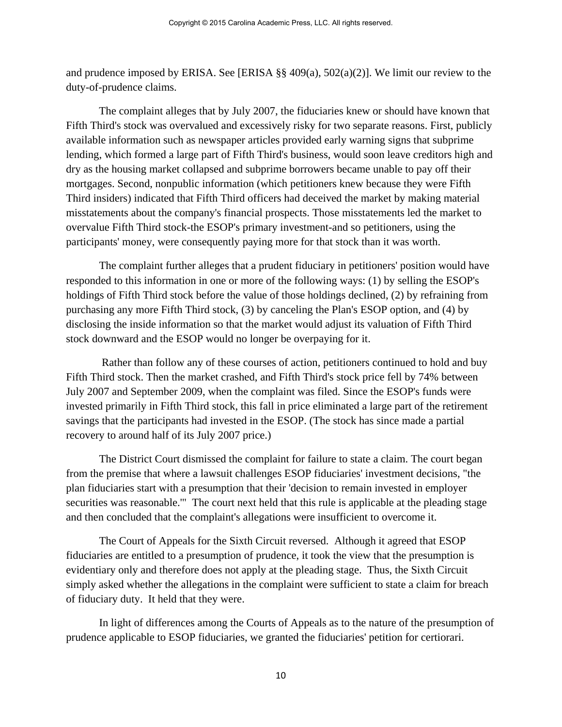and prudence imposed by ERISA. See [ERISA §§ 409(a), 502(a)(2)]. We limit our review to the duty-of-prudence claims.

 The complaint alleges that by July 2007, the fiduciaries knew or should have known that Fifth Third's stock was overvalued and excessively risky for two separate reasons. First, publicly available information such as newspaper articles provided early warning signs that subprime lending, which formed a large part of Fifth Third's business, would soon leave creditors high and dry as the housing market collapsed and subprime borrowers became unable to pay off their mortgages. Second, nonpublic information (which petitioners knew because they were Fifth Third insiders) indicated that Fifth Third officers had deceived the market by making material misstatements about the company's financial prospects. Those misstatements led the market to overvalue Fifth Third stock-the ESOP's primary investment-and so petitioners, using the participants' money, were consequently paying more for that stock than it was worth.

 The complaint further alleges that a prudent fiduciary in petitioners' position would have responded to this information in one or more of the following ways: (1) by selling the ESOP's holdings of Fifth Third stock before the value of those holdings declined, (2) by refraining from purchasing any more Fifth Third stock, (3) by canceling the Plan's ESOP option, and (4) by disclosing the inside information so that the market would adjust its valuation of Fifth Third stock downward and the ESOP would no longer be overpaying for it.

 Rather than follow any of these courses of action, petitioners continued to hold and buy Fifth Third stock. Then the market crashed, and Fifth Third's stock price fell by 74% between July 2007 and September 2009, when the complaint was filed. Since the ESOP's funds were invested primarily in Fifth Third stock, this fall in price eliminated a large part of the retirement savings that the participants had invested in the ESOP. (The stock has since made a partial recovery to around half of its July 2007 price.)

The District Court dismissed the complaint for failure to state a claim. The court began from the premise that where a lawsuit challenges ESOP fiduciaries' investment decisions, "the plan fiduciaries start with a presumption that their 'decision to remain invested in employer securities was reasonable.'" The court next held that this rule is applicable at the pleading stage and then concluded that the complaint's allegations were insufficient to overcome it.

 The Court of Appeals for the Sixth Circuit reversed. Although it agreed that ESOP fiduciaries are entitled to a presumption of prudence, it took the view that the presumption is evidentiary only and therefore does not apply at the pleading stage. Thus, the Sixth Circuit simply asked whether the allegations in the complaint were sufficient to state a claim for breach of fiduciary duty. It held that they were.

 In light of differences among the Courts of Appeals as to the nature of the presumption of prudence applicable to ESOP fiduciaries, we granted the fiduciaries' petition for certiorari.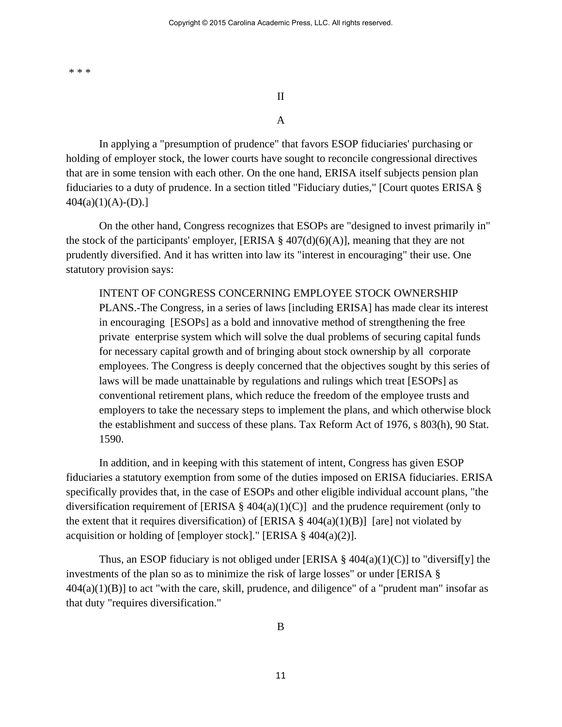\* \* \*

## II

A

 In applying a "presumption of prudence" that favors ESOP fiduciaries' purchasing or holding of employer stock, the lower courts have sought to reconcile congressional directives that are in some tension with each other. On the one hand, ERISA itself subjects pension plan fiduciaries to a duty of prudence. In a section titled "Fiduciary duties," [Court quotes ERISA §  $404(a)(1)(A)-(D).$ 

On the other hand, Congress recognizes that ESOPs are "designed to invest primarily in" the stock of the participants' employer, [ERISA  $\S$  407(d)(6)(A)], meaning that they are not prudently diversified. And it has written into law its "interest in encouraging" their use. One statutory provision says:

INTENT OF CONGRESS CONCERNING EMPLOYEE STOCK OWNERSHIP PLANS.-The Congress, in a series of laws [including ERISA] has made clear its interest in encouraging [ESOPs] as a bold and innovative method of strengthening the free private enterprise system which will solve the dual problems of securing capital funds for necessary capital growth and of bringing about stock ownership by all corporate employees. The Congress is deeply concerned that the objectives sought by this series of laws will be made unattainable by regulations and rulings which treat [ESOPs] as conventional retirement plans, which reduce the freedom of the employee trusts and employers to take the necessary steps to implement the plans, and which otherwise block the establishment and success of these plans. Tax Reform Act of 1976, s 803(h), 90 Stat. 1590.

In addition, and in keeping with this statement of intent, Congress has given ESOP fiduciaries a statutory exemption from some of the duties imposed on ERISA fiduciaries. ERISA specifically provides that, in the case of ESOPs and other eligible individual account plans, "the diversification requirement of [ERISA  $\S$  404(a)(1)(C)] and the prudence requirement (only to the extent that it requires diversification) of [ERISA  $\S$  404(a)(1)(B)] [are] not violated by acquisition or holding of [employer stock]." [ERISA § 404(a)(2)].

Thus, an ESOP fiduciary is not obliged under [ERISA  $\S$  404(a)(1)(C)] to "diversif[y] the investments of the plan so as to minimize the risk of large losses" or under [ERISA §  $404(a)(1)(B)$ ] to act "with the care, skill, prudence, and diligence" of a "prudent man" insofar as that duty "requires diversification."

B

11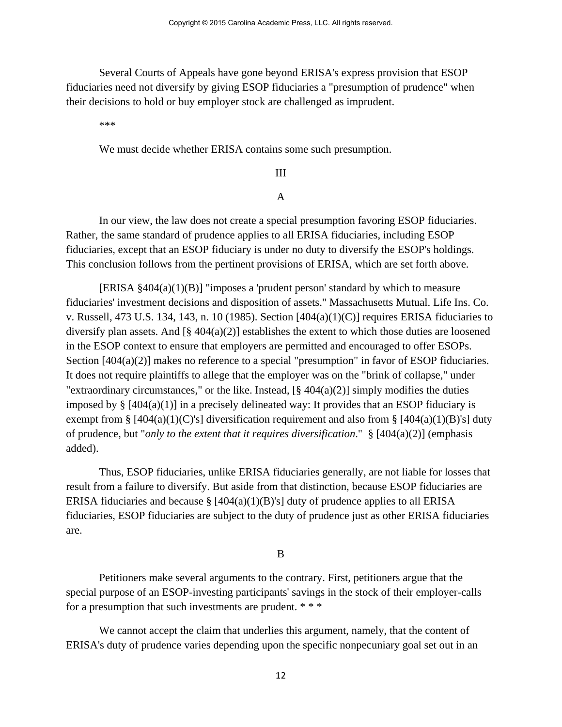Several Courts of Appeals have gone beyond ERISA's express provision that ESOP fiduciaries need not diversify by giving ESOP fiduciaries a "presumption of prudence" when their decisions to hold or buy employer stock are challenged as imprudent.

\*\*\*

We must decide whether ERISA contains some such presumption.

#### III

#### A

In our view, the law does not create a special presumption favoring ESOP fiduciaries. Rather, the same standard of prudence applies to all ERISA fiduciaries, including ESOP fiduciaries, except that an ESOP fiduciary is under no duty to diversify the ESOP's holdings. This conclusion follows from the pertinent provisions of ERISA, which are set forth above.

[ERISA §404(a)(1)(B)] "imposes a 'prudent person' standard by which to measure fiduciaries' investment decisions and disposition of assets." Massachusetts Mutual. Life Ins. Co. v. Russell, 473 U.S. 134, 143, n. 10 (1985). Section [404(a)(1)(C)] requires ERISA fiduciaries to diversify plan assets. And  $\lceil \frac{8}{9} \cdot 404(a)(2) \rceil$  establishes the extent to which those duties are loosened in the ESOP context to ensure that employers are permitted and encouraged to offer ESOPs. Section [404(a)(2)] makes no reference to a special "presumption" in favor of ESOP fiduciaries. It does not require plaintiffs to allege that the employer was on the "brink of collapse," under "extraordinary circumstances," or the like. Instead,  $\lceil \frac{8}{9} \cdot 404(a)(2) \rceil$  simply modifies the duties imposed by  $\S$  [404(a)(1)] in a precisely delineated way: It provides that an ESOP fiduciary is exempt from §  $[404(a)(1)(C)$ 's] diversification requirement and also from §  $[404(a)(1)(B)$ 's] duty of prudence, but "*only to the extent that it requires diversification*." § [404(a)(2)] (emphasis added).

Thus, ESOP fiduciaries, unlike ERISA fiduciaries generally, are not liable for losses that result from a failure to diversify. But aside from that distinction, because ESOP fiduciaries are ERISA fiduciaries and because  $\S$  [404(a)(1)(B)'s] duty of prudence applies to all ERISA fiduciaries, ESOP fiduciaries are subject to the duty of prudence just as other ERISA fiduciaries are.

#### B

 Petitioners make several arguments to the contrary. First, petitioners argue that the special purpose of an ESOP-investing participants' savings in the stock of their employer-calls for a presumption that such investments are prudent. \* \* \*

We cannot accept the claim that underlies this argument, namely, that the content of ERISA's duty of prudence varies depending upon the specific nonpecuniary goal set out in an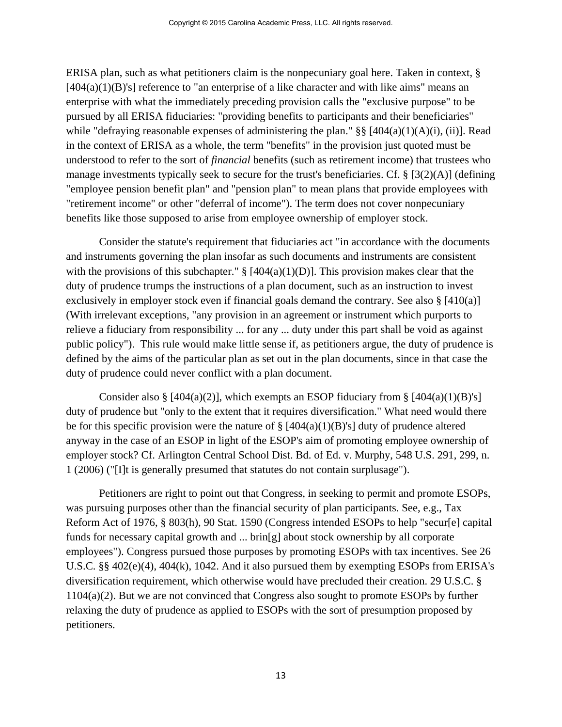ERISA plan, such as what petitioners claim is the nonpecuniary goal here. Taken in context, §  $[404(a)(1)(B)$ 's] reference to "an enterprise of a like character and with like aims" means an enterprise with what the immediately preceding provision calls the "exclusive purpose" to be pursued by all ERISA fiduciaries: "providing benefits to participants and their beneficiaries" while "defraying reasonable expenses of administering the plan." §§ [404(a)(1)(A)(i), (ii)]. Read in the context of ERISA as a whole, the term "benefits" in the provision just quoted must be understood to refer to the sort of *financial* benefits (such as retirement income) that trustees who manage investments typically seek to secure for the trust's beneficiaries. Cf. § [3(2)(A)] (defining "employee pension benefit plan" and "pension plan" to mean plans that provide employees with "retirement income" or other "deferral of income"). The term does not cover nonpecuniary benefits like those supposed to arise from employee ownership of employer stock.

Consider the statute's requirement that fiduciaries act "in accordance with the documents and instruments governing the plan insofar as such documents and instruments are consistent with the provisions of this subchapter."  $\S [404(a)(1)(D)]$ . This provision makes clear that the duty of prudence trumps the instructions of a plan document, such as an instruction to invest exclusively in employer stock even if financial goals demand the contrary. See also  $\S$  [410(a)] (With irrelevant exceptions, "any provision in an agreement or instrument which purports to relieve a fiduciary from responsibility ... for any ... duty under this part shall be void as against public policy"). This rule would make little sense if, as petitioners argue, the duty of prudence is defined by the aims of the particular plan as set out in the plan documents, since in that case the duty of prudence could never conflict with a plan document.

Consider also §  $[404(a)(2)]$ , which exempts an ESOP fiduciary from §  $[404(a)(1)(B)$ 's] duty of prudence but "only to the extent that it requires diversification." What need would there be for this specific provision were the nature of  $\S [404(a)(1)(B)']$  duty of prudence altered anyway in the case of an ESOP in light of the ESOP's aim of promoting employee ownership of employer stock? Cf. Arlington Central School Dist. Bd. of Ed. v. Murphy, 548 U.S. 291, 299, n. 1 (2006) ("[I]t is generally presumed that statutes do not contain surplusage").

Petitioners are right to point out that Congress, in seeking to permit and promote ESOPs, was pursuing purposes other than the financial security of plan participants. See, e.g., Tax Reform Act of 1976, § 803(h), 90 Stat. 1590 (Congress intended ESOPs to help "secur[e] capital funds for necessary capital growth and ... brin[g] about stock ownership by all corporate employees"). Congress pursued those purposes by promoting ESOPs with tax incentives. See 26 U.S.C. §§ 402(e)(4), 404(k), 1042. And it also pursued them by exempting ESOPs from ERISA's diversification requirement, which otherwise would have precluded their creation. 29 U.S.C. § 1104(a)(2). But we are not convinced that Congress also sought to promote ESOPs by further relaxing the duty of prudence as applied to ESOPs with the sort of presumption proposed by petitioners.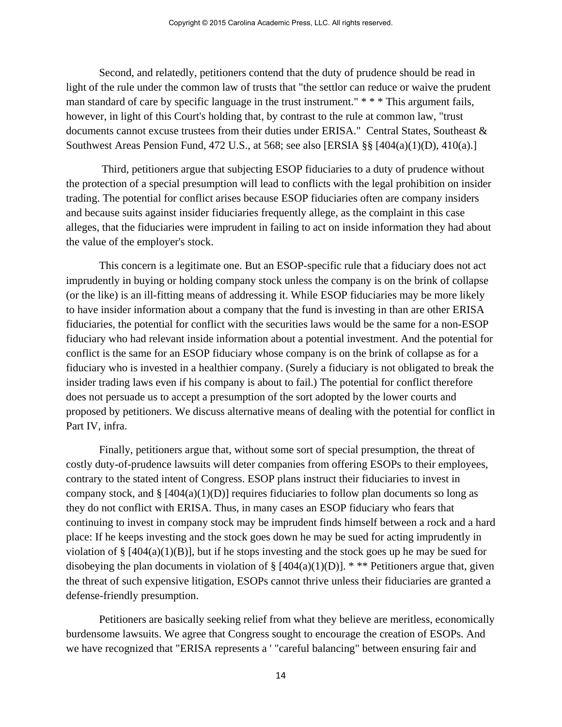Second, and relatedly, petitioners contend that the duty of prudence should be read in light of the rule under the common law of trusts that "the settlor can reduce or waive the prudent man standard of care by specific language in the trust instrument." \* \* \* This argument fails, however, in light of this Court's holding that, by contrast to the rule at common law, "trust documents cannot excuse trustees from their duties under ERISA." Central States, Southeast & Southwest Areas Pension Fund, 472 U.S., at 568; see also [ERSIA §§ [404(a)(1)(D), 410(a).]

 Third, petitioners argue that subjecting ESOP fiduciaries to a duty of prudence without the protection of a special presumption will lead to conflicts with the legal prohibition on insider trading. The potential for conflict arises because ESOP fiduciaries often are company insiders and because suits against insider fiduciaries frequently allege, as the complaint in this case alleges, that the fiduciaries were imprudent in failing to act on inside information they had about the value of the employer's stock.

This concern is a legitimate one. But an ESOP-specific rule that a fiduciary does not act imprudently in buying or holding company stock unless the company is on the brink of collapse (or the like) is an ill-fitting means of addressing it. While ESOP fiduciaries may be more likely to have insider information about a company that the fund is investing in than are other ERISA fiduciaries, the potential for conflict with the securities laws would be the same for a non-ESOP fiduciary who had relevant inside information about a potential investment. And the potential for conflict is the same for an ESOP fiduciary whose company is on the brink of collapse as for a fiduciary who is invested in a healthier company. (Surely a fiduciary is not obligated to break the insider trading laws even if his company is about to fail.) The potential for conflict therefore does not persuade us to accept a presumption of the sort adopted by the lower courts and proposed by petitioners. We discuss alternative means of dealing with the potential for conflict in Part IV, infra.

Finally, petitioners argue that, without some sort of special presumption, the threat of costly duty-of-prudence lawsuits will deter companies from offering ESOPs to their employees, contrary to the stated intent of Congress. ESOP plans instruct their fiduciaries to invest in company stock, and  $\S [404(a)(1)(D)]$  requires fiduciaries to follow plan documents so long as they do not conflict with ERISA. Thus, in many cases an ESOP fiduciary who fears that continuing to invest in company stock may be imprudent finds himself between a rock and a hard place: If he keeps investing and the stock goes down he may be sued for acting imprudently in violation of  $\S$  [404(a)(1)(B)], but if he stops investing and the stock goes up he may be sued for disobeying the plan documents in violation of  $\S [404(a)(1)(D)]$ . \* \*\* Petitioners argue that, given the threat of such expensive litigation, ESOPs cannot thrive unless their fiduciaries are granted a defense-friendly presumption.

Petitioners are basically seeking relief from what they believe are meritless, economically burdensome lawsuits. We agree that Congress sought to encourage the creation of ESOPs. And we have recognized that "ERISA represents a ' "careful balancing" between ensuring fair and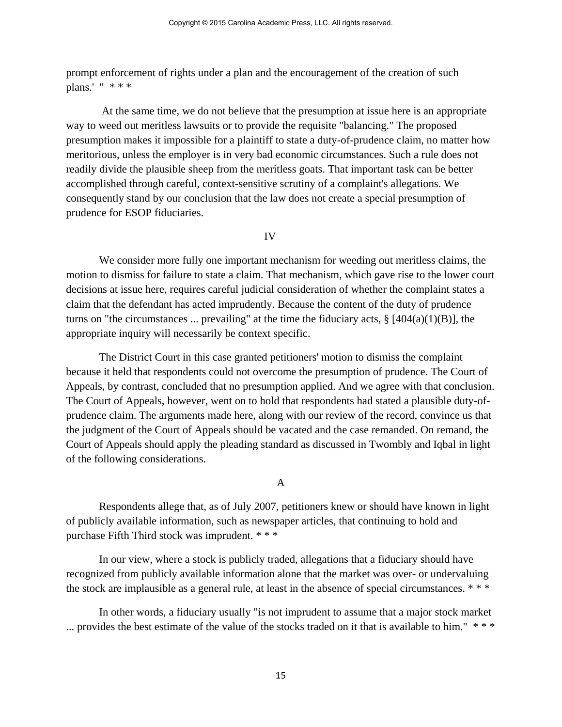prompt enforcement of rights under a plan and the encouragement of the creation of such plans.' "  $***$ 

 At the same time, we do not believe that the presumption at issue here is an appropriate way to weed out meritless lawsuits or to provide the requisite "balancing." The proposed presumption makes it impossible for a plaintiff to state a duty-of-prudence claim, no matter how meritorious, unless the employer is in very bad economic circumstances. Such a rule does not readily divide the plausible sheep from the meritless goats. That important task can be better accomplished through careful, context-sensitive scrutiny of a complaint's allegations. We consequently stand by our conclusion that the law does not create a special presumption of prudence for ESOP fiduciaries.

IV

We consider more fully one important mechanism for weeding out meritless claims, the motion to dismiss for failure to state a claim. That mechanism, which gave rise to the lower court decisions at issue here, requires careful judicial consideration of whether the complaint states a claim that the defendant has acted imprudently. Because the content of the duty of prudence turns on "the circumstances ... prevailing" at the time the fiduciary acts,  $\S$  [404(a)(1)(B)], the appropriate inquiry will necessarily be context specific.

The District Court in this case granted petitioners' motion to dismiss the complaint because it held that respondents could not overcome the presumption of prudence. The Court of Appeals, by contrast, concluded that no presumption applied. And we agree with that conclusion. The Court of Appeals, however, went on to hold that respondents had stated a plausible duty-ofprudence claim. The arguments made here, along with our review of the record, convince us that the judgment of the Court of Appeals should be vacated and the case remanded. On remand, the Court of Appeals should apply the pleading standard as discussed in Twombly and Iqbal in light of the following considerations.

#### A

 Respondents allege that, as of July 2007, petitioners knew or should have known in light of publicly available information, such as newspaper articles, that continuing to hold and purchase Fifth Third stock was imprudent. \* \* \*

In our view, where a stock is publicly traded, allegations that a fiduciary should have recognized from publicly available information alone that the market was over- or undervaluing the stock are implausible as a general rule, at least in the absence of special circumstances. \* \* \*

 In other words, a fiduciary usually "is not imprudent to assume that a major stock market ... provides the best estimate of the value of the stocks traded on it that is available to him."  $***$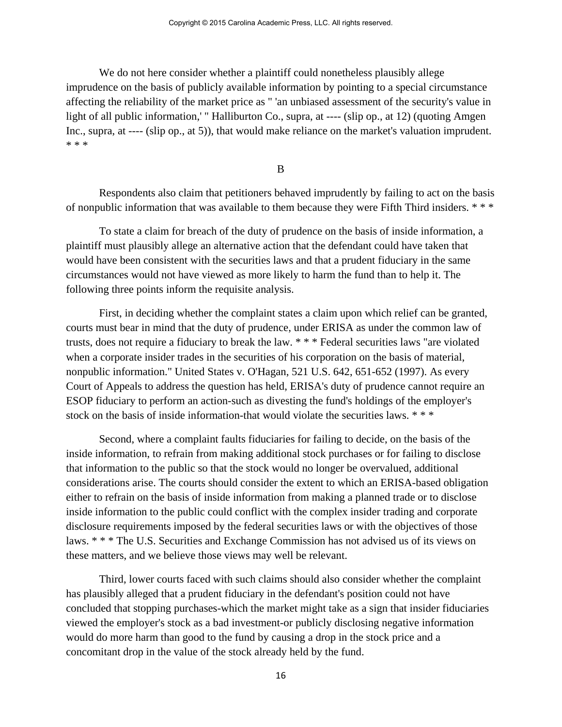We do not here consider whether a plaintiff could nonetheless plausibly allege imprudence on the basis of publicly available information by pointing to a special circumstance affecting the reliability of the market price as " 'an unbiased assessment of the security's value in light of all public information,' " Halliburton Co., supra, at ---- (slip op., at 12) (quoting Amgen Inc., supra, at ---- (slip op., at 5)), that would make reliance on the market's valuation imprudent. \* \* \*

B

 Respondents also claim that petitioners behaved imprudently by failing to act on the basis of nonpublic information that was available to them because they were Fifth Third insiders. \* \* \*

To state a claim for breach of the duty of prudence on the basis of inside information, a plaintiff must plausibly allege an alternative action that the defendant could have taken that would have been consistent with the securities laws and that a prudent fiduciary in the same circumstances would not have viewed as more likely to harm the fund than to help it. The following three points inform the requisite analysis.

 First, in deciding whether the complaint states a claim upon which relief can be granted, courts must bear in mind that the duty of prudence, under ERISA as under the common law of trusts, does not require a fiduciary to break the law. \* \* \* Federal securities laws "are violated when a corporate insider trades in the securities of his corporation on the basis of material, nonpublic information." United States v. O'Hagan, 521 U.S. 642, 651-652 (1997). As every Court of Appeals to address the question has held, ERISA's duty of prudence cannot require an ESOP fiduciary to perform an action-such as divesting the fund's holdings of the employer's stock on the basis of inside information-that would violate the securities laws. \*\*\*

Second, where a complaint faults fiduciaries for failing to decide, on the basis of the inside information, to refrain from making additional stock purchases or for failing to disclose that information to the public so that the stock would no longer be overvalued, additional considerations arise. The courts should consider the extent to which an ERISA-based obligation either to refrain on the basis of inside information from making a planned trade or to disclose inside information to the public could conflict with the complex insider trading and corporate disclosure requirements imposed by the federal securities laws or with the objectives of those laws. \* \* \* The U.S. Securities and Exchange Commission has not advised us of its views on these matters, and we believe those views may well be relevant.

Third, lower courts faced with such claims should also consider whether the complaint has plausibly alleged that a prudent fiduciary in the defendant's position could not have concluded that stopping purchases-which the market might take as a sign that insider fiduciaries viewed the employer's stock as a bad investment-or publicly disclosing negative information would do more harm than good to the fund by causing a drop in the stock price and a concomitant drop in the value of the stock already held by the fund.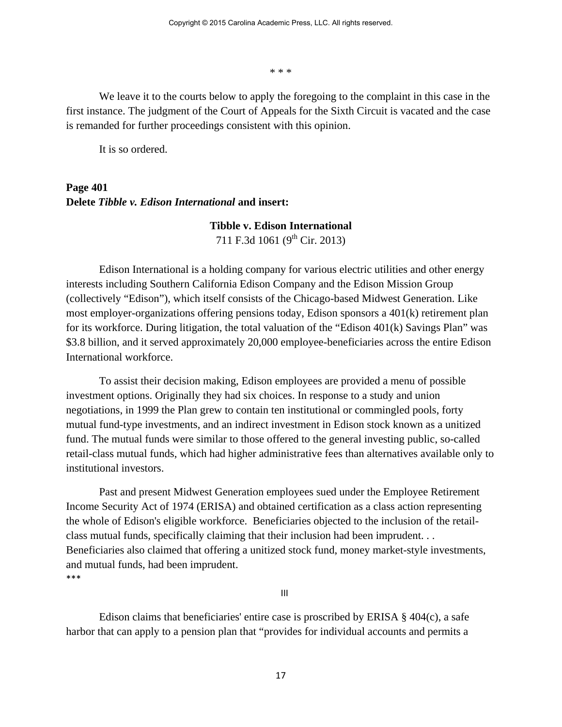\* \* \*

We leave it to the courts below to apply the foregoing to the complaint in this case in the first instance. The judgment of the Court of Appeals for the Sixth Circuit is vacated and the case is remanded for further proceedings consistent with this opinion.

It is so ordered.

## **Page 401 Delete** *Tibble v. Edison International* **and insert:**

### **Tibble v. Edison International**

711 F.3d 1061 ( $9^{th}$  Cir. 2013)

 Edison International is a holding company for various electric utilities and other energy interests including Southern California Edison Company and the Edison Mission Group (collectively "Edison"), which itself consists of the Chicago-based Midwest Generation. Like most employer-organizations offering pensions today, Edison sponsors a 401(k) retirement plan for its workforce. During litigation, the total valuation of the "Edison 401(k) Savings Plan" was \$3.8 billion, and it served approximately 20,000 employee-beneficiaries across the entire Edison International workforce.

 To assist their decision making, Edison employees are provided a menu of possible investment options. Originally they had six choices. In response to a study and union negotiations, in 1999 the Plan grew to contain ten institutional or commingled pools, forty mutual fund-type investments, and an indirect investment in Edison stock known as a unitized fund. The mutual funds were similar to those offered to the general investing public, so-called retail-class mutual funds, which had higher administrative fees than alternatives available only to institutional investors.

 Past and present Midwest Generation employees sued under the Employee Retirement Income Security Act of 1974 (ERISA) and obtained certification as a class action representing the whole of Edison's eligible workforce. Beneficiaries objected to the inclusion of the retailclass mutual funds, specifically claiming that their inclusion had been imprudent. . . Beneficiaries also claimed that offering a unitized stock fund, money market-style investments, and mutual funds, had been imprudent. \*\*\*

III

Edison claims that beneficiaries' entire case is proscribed by ERISA  $\S$  404(c), a safe harbor that can apply to a pension plan that "provides for individual accounts and permits a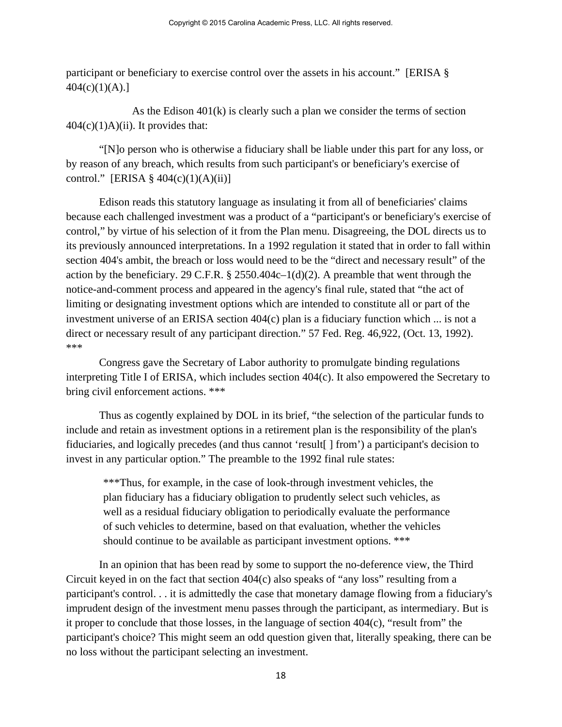participant or beneficiary to exercise control over the assets in his account." [ERISA §  $404(c)(1)(A).$ ]

 As the Edison 401(k) is clearly such a plan we consider the terms of section  $404(c)(1)$ A $(i)$ ). It provides that:

 "[N]o person who is otherwise a fiduciary shall be liable under this part for any loss, or by reason of any breach, which results from such participant's or beneficiary's exercise of control." [ERISA §  $404(c)(1)(A)(ii)$ ]

 Edison reads this statutory language as insulating it from all of beneficiaries' claims because each challenged investment was a product of a "participant's or beneficiary's exercise of control," by virtue of his selection of it from the Plan menu. Disagreeing, the DOL directs us to its previously announced interpretations. In a 1992 regulation it stated that in order to fall within section 404's ambit, the breach or loss would need to be the "direct and necessary result" of the action by the beneficiary. 29 C.F.R.  $\S$  2550.404c–1(d)(2). A preamble that went through the notice-and-comment process and appeared in the agency's final rule, stated that "the act of limiting or designating investment options which are intended to constitute all or part of the investment universe of an ERISA section 404(c) plan is a fiduciary function which ... is not a direct or necessary result of any participant direction." 57 Fed. Reg. 46,922, (Oct. 13, 1992). \*\*\*

Congress gave the Secretary of Labor authority to promulgate binding regulations interpreting Title I of ERISA, which includes section 404(c). It also empowered the Secretary to bring civil enforcement actions. \*\*\*

 Thus as cogently explained by DOL in its brief, "the selection of the particular funds to include and retain as investment options in a retirement plan is the responsibility of the plan's fiduciaries, and logically precedes (and thus cannot 'result[ ] from') a participant's decision to invest in any particular option." The preamble to the 1992 final rule states:

\*\*\*Thus, for example, in the case of look-through investment vehicles, the plan fiduciary has a fiduciary obligation to prudently select such vehicles, as well as a residual fiduciary obligation to periodically evaluate the performance of such vehicles to determine, based on that evaluation, whether the vehicles should continue to be available as participant investment options. \*\*\*

 In an opinion that has been read by some to support the no-deference view, the Third Circuit keyed in on the fact that section 404(c) also speaks of "any loss" resulting from a participant's control. . . it is admittedly the case that monetary damage flowing from a fiduciary's imprudent design of the investment menu passes through the participant, as intermediary. But is it proper to conclude that those losses, in the language of section 404(c), "result from" the participant's choice? This might seem an odd question given that, literally speaking, there can be no loss without the participant selecting an investment.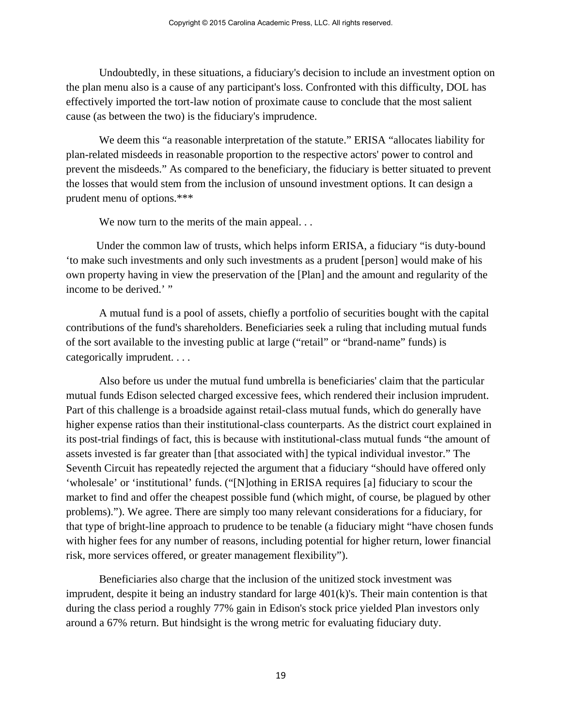Undoubtedly, in these situations, a fiduciary's decision to include an investment option on the plan menu also is a cause of any participant's loss. Confronted with this difficulty, DOL has effectively imported the tort-law notion of proximate cause to conclude that the most salient cause (as between the two) is the fiduciary's imprudence.

 We deem this "a reasonable interpretation of the statute." ERISA "allocates liability for plan-related misdeeds in reasonable proportion to the respective actors' power to control and prevent the misdeeds." As compared to the beneficiary, the fiduciary is better situated to prevent the losses that would stem from the inclusion of unsound investment options. It can design a prudent menu of options.\*\*\*

We now turn to the merits of the main appeal. . .

 Under the common law of trusts, which helps inform ERISA, a fiduciary "is duty-bound 'to make such investments and only such investments as a prudent [person] would make of his own property having in view the preservation of the [Plan] and the amount and regularity of the income to be derived.'"

 A mutual fund is a pool of assets, chiefly a portfolio of securities bought with the capital contributions of the fund's shareholders. Beneficiaries seek a ruling that including mutual funds of the sort available to the investing public at large ("retail" or "brand-name" funds) is categorically imprudent. . . .

 Also before us under the mutual fund umbrella is beneficiaries' claim that the particular mutual funds Edison selected charged excessive fees, which rendered their inclusion imprudent. Part of this challenge is a broadside against retail-class mutual funds, which do generally have higher expense ratios than their institutional-class counterparts. As the district court explained in its post-trial findings of fact, this is because with institutional-class mutual funds "the amount of assets invested is far greater than [that associated with] the typical individual investor." The Seventh Circuit has repeatedly rejected the argument that a fiduciary "should have offered only 'wholesale' or 'institutional' funds. ("[N]othing in ERISA requires [a] fiduciary to scour the market to find and offer the cheapest possible fund (which might, of course, be plagued by other problems)."). We agree. There are simply too many relevant considerations for a fiduciary, for that type of bright-line approach to prudence to be tenable (a fiduciary might "have chosen funds with higher fees for any number of reasons, including potential for higher return, lower financial risk, more services offered, or greater management flexibility").

 Beneficiaries also charge that the inclusion of the unitized stock investment was imprudent, despite it being an industry standard for large 401(k)'s. Their main contention is that during the class period a roughly 77% gain in Edison's stock price yielded Plan investors only around a 67% return. But hindsight is the wrong metric for evaluating fiduciary duty.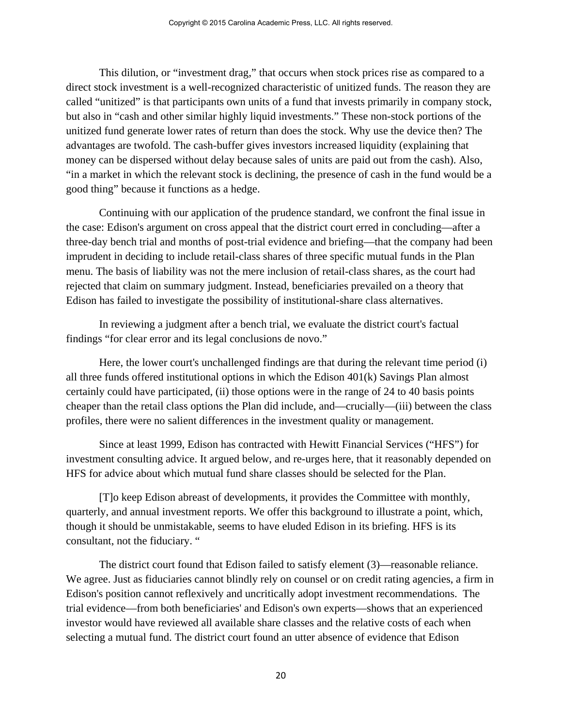This dilution, or "investment drag," that occurs when stock prices rise as compared to a direct stock investment is a well-recognized characteristic of unitized funds. The reason they are called "unitized" is that participants own units of a fund that invests primarily in company stock, but also in "cash and other similar highly liquid investments." These non-stock portions of the unitized fund generate lower rates of return than does the stock. Why use the device then? The advantages are twofold. The cash-buffer gives investors increased liquidity (explaining that money can be dispersed without delay because sales of units are paid out from the cash). Also, "in a market in which the relevant stock is declining, the presence of cash in the fund would be a good thing" because it functions as a hedge.

 Continuing with our application of the prudence standard, we confront the final issue in the case: Edison's argument on cross appeal that the district court erred in concluding—after a three-day bench trial and months of post-trial evidence and briefing—that the company had been imprudent in deciding to include retail-class shares of three specific mutual funds in the Plan menu. The basis of liability was not the mere inclusion of retail-class shares, as the court had rejected that claim on summary judgment. Instead, beneficiaries prevailed on a theory that Edison has failed to investigate the possibility of institutional-share class alternatives.

 In reviewing a judgment after a bench trial, we evaluate the district court's factual findings "for clear error and its legal conclusions de novo."

 Here, the lower court's unchallenged findings are that during the relevant time period (i) all three funds offered institutional options in which the Edison 401(k) Savings Plan almost certainly could have participated, (ii) those options were in the range of 24 to 40 basis points cheaper than the retail class options the Plan did include, and—crucially—(iii) between the class profiles, there were no salient differences in the investment quality or management.

 Since at least 1999, Edison has contracted with Hewitt Financial Services ("HFS") for investment consulting advice. It argued below, and re-urges here, that it reasonably depended on HFS for advice about which mutual fund share classes should be selected for the Plan.

 [T]o keep Edison abreast of developments, it provides the Committee with monthly, quarterly, and annual investment reports. We offer this background to illustrate a point, which, though it should be unmistakable, seems to have eluded Edison in its briefing. HFS is its consultant, not the fiduciary. "

 The district court found that Edison failed to satisfy element (3)—reasonable reliance. We agree. Just as fiduciaries cannot blindly rely on counsel or on credit rating agencies, a firm in Edison's position cannot reflexively and uncritically adopt investment recommendations. The trial evidence—from both beneficiaries' and Edison's own experts—shows that an experienced investor would have reviewed all available share classes and the relative costs of each when selecting a mutual fund. The district court found an utter absence of evidence that Edison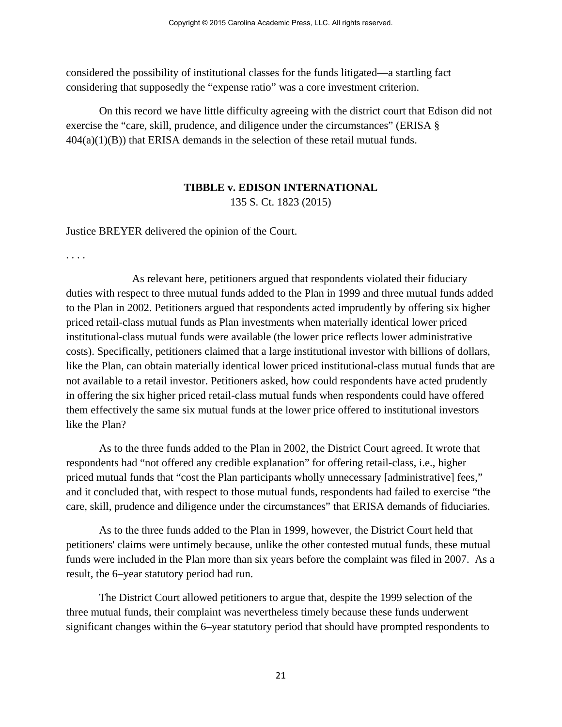considered the possibility of institutional classes for the funds litigated—a startling fact considering that supposedly the "expense ratio" was a core investment criterion.

 On this record we have little difficulty agreeing with the district court that Edison did not exercise the "care, skill, prudence, and diligence under the circumstances" (ERISA §  $404(a)(1)(B)$ ) that ERISA demands in the selection of these retail mutual funds.

#### **TIBBLE v. EDISON INTERNATIONAL**

135 S. Ct. 1823 (2015)

Justice BREYER delivered the opinion of the Court.

. . . .

 As relevant here, petitioners argued that respondents violated their fiduciary duties with respect to three mutual funds added to the Plan in 1999 and three mutual funds added to the Plan in 2002. Petitioners argued that respondents acted imprudently by offering six higher priced retail-class mutual funds as Plan investments when materially identical lower priced institutional-class mutual funds were available (the lower price reflects lower administrative costs). Specifically, petitioners claimed that a large institutional investor with billions of dollars, like the Plan, can obtain materially identical lower priced institutional-class mutual funds that are not available to a retail investor. Petitioners asked, how could respondents have acted prudently in offering the six higher priced retail-class mutual funds when respondents could have offered them effectively the same six mutual funds at the lower price offered to institutional investors like the Plan?

As to the three funds added to the Plan in 2002, the District Court agreed. It wrote that respondents had "not offered any credible explanation" for offering retail-class, i.e., higher priced mutual funds that "cost the Plan participants wholly unnecessary [administrative] fees," and it concluded that, with respect to those mutual funds, respondents had failed to exercise "the care, skill, prudence and diligence under the circumstances" that ERISA demands of fiduciaries.

As to the three funds added to the Plan in 1999, however, the District Court held that petitioners' claims were untimely because, unlike the other contested mutual funds, these mutual funds were included in the Plan more than six years before the complaint was filed in 2007. As a result, the 6–year statutory period had run.

 The District Court allowed petitioners to argue that, despite the 1999 selection of the three mutual funds, their complaint was nevertheless timely because these funds underwent significant changes within the 6–year statutory period that should have prompted respondents to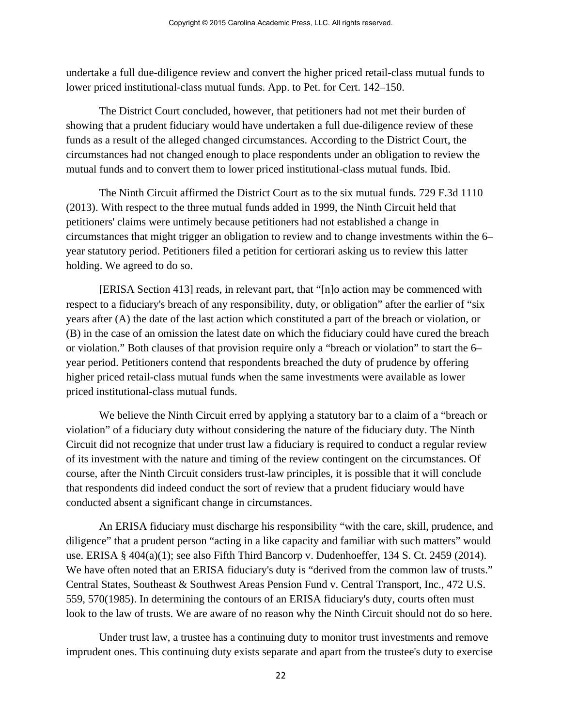undertake a full due-diligence review and convert the higher priced retail-class mutual funds to lower priced institutional-class mutual funds. App. to Pet. for Cert. 142–150.

The District Court concluded, however, that petitioners had not met their burden of showing that a prudent fiduciary would have undertaken a full due-diligence review of these funds as a result of the alleged changed circumstances. According to the District Court, the circumstances had not changed enough to place respondents under an obligation to review the mutual funds and to convert them to lower priced institutional-class mutual funds. Ibid.

The Ninth Circuit affirmed the District Court as to the six mutual funds. 729 F.3d 1110 (2013). With respect to the three mutual funds added in 1999, the Ninth Circuit held that petitioners' claims were untimely because petitioners had not established a change in circumstances that might trigger an obligation to review and to change investments within the 6– year statutory period. Petitioners filed a petition for certiorari asking us to review this latter holding. We agreed to do so.

[ERISA Section 413] reads, in relevant part, that "[n]o action may be commenced with respect to a fiduciary's breach of any responsibility, duty, or obligation" after the earlier of "six years after (A) the date of the last action which constituted a part of the breach or violation, or (B) in the case of an omission the latest date on which the fiduciary could have cured the breach or violation." Both clauses of that provision require only a "breach or violation" to start the 6– year period. Petitioners contend that respondents breached the duty of prudence by offering higher priced retail-class mutual funds when the same investments were available as lower priced institutional-class mutual funds.

We believe the Ninth Circuit erred by applying a statutory bar to a claim of a "breach or violation" of a fiduciary duty without considering the nature of the fiduciary duty. The Ninth Circuit did not recognize that under trust law a fiduciary is required to conduct a regular review of its investment with the nature and timing of the review contingent on the circumstances. Of course, after the Ninth Circuit considers trust-law principles, it is possible that it will conclude that respondents did indeed conduct the sort of review that a prudent fiduciary would have conducted absent a significant change in circumstances.

An ERISA fiduciary must discharge his responsibility "with the care, skill, prudence, and diligence" that a prudent person "acting in a like capacity and familiar with such matters" would use. ERISA § 404(a)(1); see also Fifth Third Bancorp v. Dudenhoeffer, 134 S. Ct. 2459 (2014). We have often noted that an ERISA fiduciary's duty is "derived from the common law of trusts." Central States, Southeast & Southwest Areas Pension Fund v. Central Transport, Inc., 472 U.S. 559, 570(1985). In determining the contours of an ERISA fiduciary's duty, courts often must look to the law of trusts. We are aware of no reason why the Ninth Circuit should not do so here.

Under trust law, a trustee has a continuing duty to monitor trust investments and remove imprudent ones. This continuing duty exists separate and apart from the trustee's duty to exercise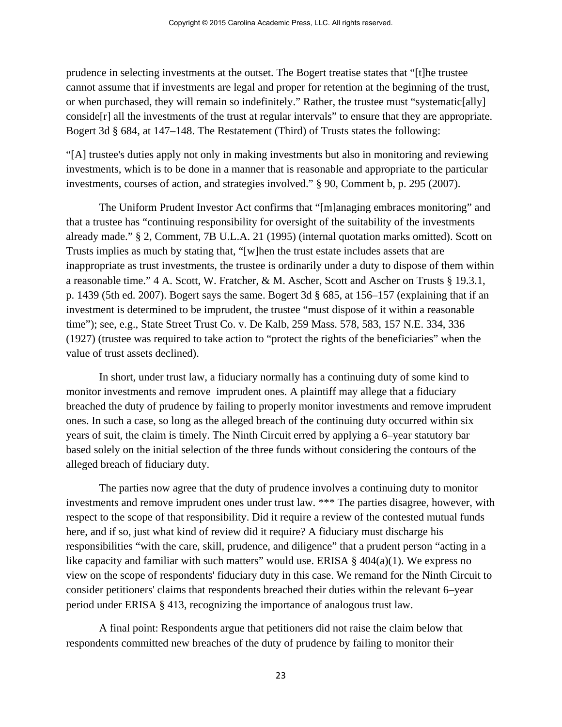prudence in selecting investments at the outset. The Bogert treatise states that "[t]he trustee cannot assume that if investments are legal and proper for retention at the beginning of the trust, or when purchased, they will remain so indefinitely." Rather, the trustee must "systematic[ally] conside[r] all the investments of the trust at regular intervals" to ensure that they are appropriate. Bogert 3d § 684, at 147–148. The Restatement (Third) of Trusts states the following:

"[A] trustee's duties apply not only in making investments but also in monitoring and reviewing investments, which is to be done in a manner that is reasonable and appropriate to the particular investments, courses of action, and strategies involved." § 90, Comment b, p. 295 (2007).

The Uniform Prudent Investor Act confirms that "[m]anaging embraces monitoring" and that a trustee has "continuing responsibility for oversight of the suitability of the investments already made." § 2, Comment, 7B U.L.A. 21 (1995) (internal quotation marks omitted). Scott on Trusts implies as much by stating that, "[w]hen the trust estate includes assets that are inappropriate as trust investments, the trustee is ordinarily under a duty to dispose of them within a reasonable time." 4 A. Scott, W. Fratcher, & M. Ascher, Scott and Ascher on Trusts § 19.3.1, p. 1439 (5th ed. 2007). Bogert says the same. Bogert 3d § 685, at 156–157 (explaining that if an investment is determined to be imprudent, the trustee "must dispose of it within a reasonable time"); see, e.g., State Street Trust Co. v. De Kalb, 259 Mass. 578, 583, 157 N.E. 334, 336 (1927) (trustee was required to take action to "protect the rights of the beneficiaries" when the value of trust assets declined).

In short, under trust law, a fiduciary normally has a continuing duty of some kind to monitor investments and remove imprudent ones. A plaintiff may allege that a fiduciary breached the duty of prudence by failing to properly monitor investments and remove imprudent ones. In such a case, so long as the alleged breach of the continuing duty occurred within six years of suit, the claim is timely. The Ninth Circuit erred by applying a 6–year statutory bar based solely on the initial selection of the three funds without considering the contours of the alleged breach of fiduciary duty.

The parties now agree that the duty of prudence involves a continuing duty to monitor investments and remove imprudent ones under trust law. \*\*\* The parties disagree, however, with respect to the scope of that responsibility. Did it require a review of the contested mutual funds here, and if so, just what kind of review did it require? A fiduciary must discharge his responsibilities "with the care, skill, prudence, and diligence" that a prudent person "acting in a like capacity and familiar with such matters" would use. ERISA  $\S$  404(a)(1). We express no view on the scope of respondents' fiduciary duty in this case. We remand for the Ninth Circuit to consider petitioners' claims that respondents breached their duties within the relevant 6–year period under ERISA § 413, recognizing the importance of analogous trust law.

A final point: Respondents argue that petitioners did not raise the claim below that respondents committed new breaches of the duty of prudence by failing to monitor their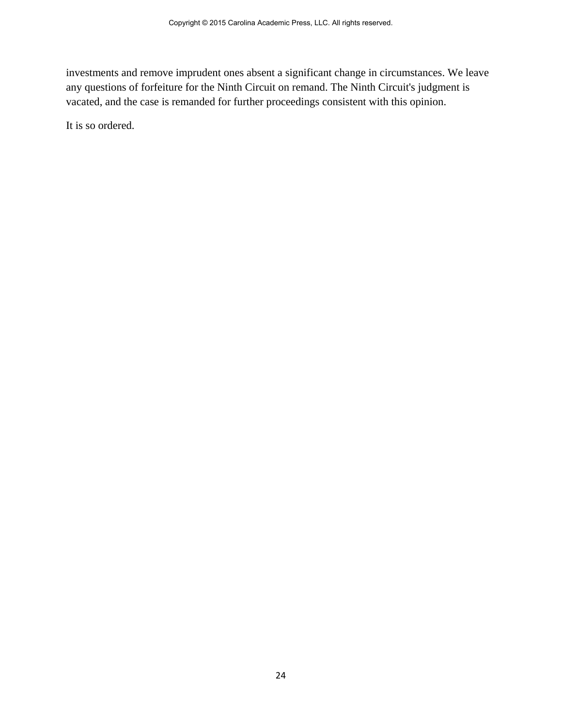investments and remove imprudent ones absent a significant change in circumstances. We leave any questions of forfeiture for the Ninth Circuit on remand. The Ninth Circuit's judgment is vacated, and the case is remanded for further proceedings consistent with this opinion.

It is so ordered.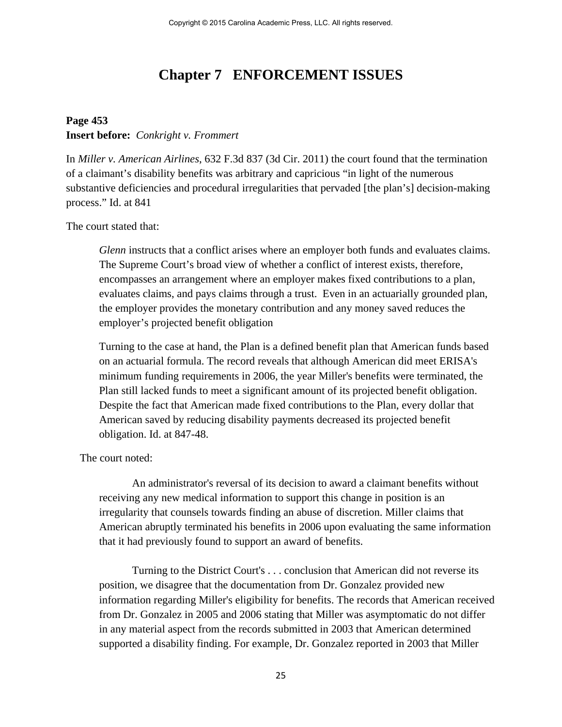## **Chapter 7 ENFORCEMENT ISSUES**

## **Page 453 Insert before:** *Conkright v. Frommert*

In *Miller v. American Airlines*, 632 F.3d 837 (3d Cir. 2011) the court found that the termination of a claimant's disability benefits was arbitrary and capricious "in light of the numerous substantive deficiencies and procedural irregularities that pervaded [the plan's] decision-making process." Id. at 841

#### The court stated that:

*Glenn* instructs that a conflict arises where an employer both funds and evaluates claims. The Supreme Court's broad view of whether a conflict of interest exists, therefore, encompasses an arrangement where an employer makes fixed contributions to a plan, evaluates claims, and pays claims through a trust. Even in an actuarially grounded plan, the employer provides the monetary contribution and any money saved reduces the employer's projected benefit obligation

 Turning to the case at hand, the Plan is a defined benefit plan that American funds based on an actuarial formula. The record reveals that although American did meet ERISA's minimum funding requirements in 2006, the year Miller's benefits were terminated, the Plan still lacked funds to meet a significant amount of its projected benefit obligation. Despite the fact that American made fixed contributions to the Plan, every dollar that American saved by reducing disability payments decreased its projected benefit obligation. Id. at 847-48.

The court noted:

 An administrator's reversal of its decision to award a claimant benefits without receiving any new medical information to support this change in position is an irregularity that counsels towards finding an abuse of discretion. Miller claims that American abruptly terminated his benefits in 2006 upon evaluating the same information that it had previously found to support an award of benefits.

 Turning to the District Court's . . . conclusion that American did not reverse its position, we disagree that the documentation from Dr. Gonzalez provided new information regarding Miller's eligibility for benefits. The records that American received from Dr. Gonzalez in 2005 and 2006 stating that Miller was asymptomatic do not differ in any material aspect from the records submitted in 2003 that American determined supported a disability finding. For example, Dr. Gonzalez reported in 2003 that Miller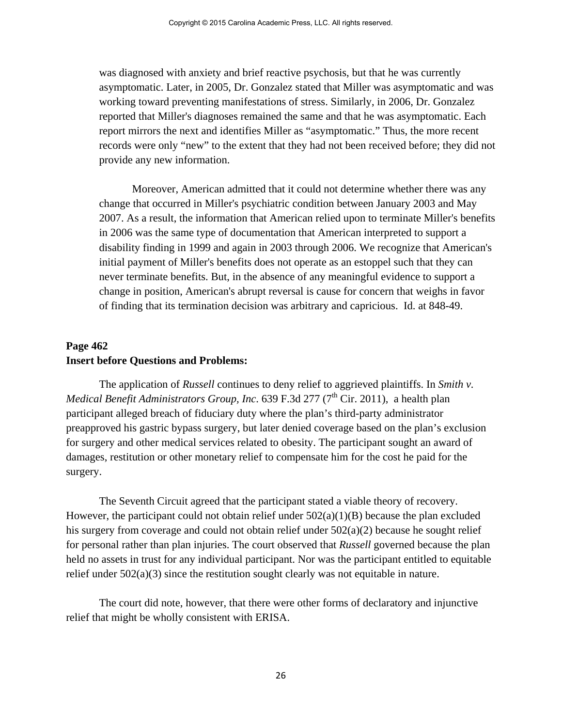was diagnosed with anxiety and brief reactive psychosis, but that he was currently asymptomatic. Later, in 2005, Dr. Gonzalez stated that Miller was asymptomatic and was working toward preventing manifestations of stress. Similarly, in 2006, Dr. Gonzalez reported that Miller's diagnoses remained the same and that he was asymptomatic. Each report mirrors the next and identifies Miller as "asymptomatic." Thus, the more recent records were only "new" to the extent that they had not been received before; they did not provide any new information.

 Moreover, American admitted that it could not determine whether there was any change that occurred in Miller's psychiatric condition between January 2003 and May 2007. As a result, the information that American relied upon to terminate Miller's benefits in 2006 was the same type of documentation that American interpreted to support a disability finding in 1999 and again in 2003 through 2006. We recognize that American's initial payment of Miller's benefits does not operate as an estoppel such that they can never terminate benefits. But, in the absence of any meaningful evidence to support a change in position, American's abrupt reversal is cause for concern that weighs in favor of finding that its termination decision was arbitrary and capricious. Id. at 848-49.

## **Page 462 Insert before Questions and Problems:**

The application of *Russell* continues to deny relief to aggrieved plaintiffs. In *Smith v. Medical Benefit Administrators Group, Inc.* 639 F.3d 277 (7<sup>th</sup> Cir. 2011), a health plan participant alleged breach of fiduciary duty where the plan's third-party administrator preapproved his gastric bypass surgery, but later denied coverage based on the plan's exclusion for surgery and other medical services related to obesity. The participant sought an award of damages, restitution or other monetary relief to compensate him for the cost he paid for the surgery.

 The Seventh Circuit agreed that the participant stated a viable theory of recovery. However, the participant could not obtain relief under  $502(a)(1)(B)$  because the plan excluded his surgery from coverage and could not obtain relief under  $502(a)(2)$  because he sought relief for personal rather than plan injuries. The court observed that *Russell* governed because the plan held no assets in trust for any individual participant. Nor was the participant entitled to equitable relief under 502(a)(3) since the restitution sought clearly was not equitable in nature.

The court did note, however, that there were other forms of declaratory and injunctive relief that might be wholly consistent with ERISA.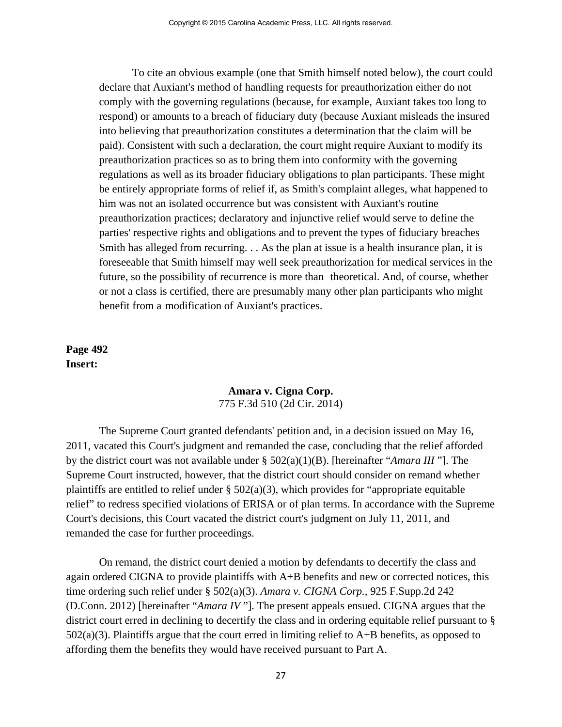To cite an obvious example (one that Smith himself noted below), the court could declare that Auxiant's method of handling requests for preauthorization either do not comply with the governing regulations (because, for example, Auxiant takes too long to respond) or amounts to a breach of fiduciary duty (because Auxiant misleads the insured into believing that preauthorization constitutes a determination that the claim will be paid). Consistent with such a declaration, the court might require Auxiant to modify its preauthorization practices so as to bring them into conformity with the governing regulations as well as its broader fiduciary obligations to plan participants. These might be entirely appropriate forms of relief if, as Smith's complaint alleges, what happened to him was not an isolated occurrence but was consistent with Auxiant's routine preauthorization practices; declaratory and injunctive relief would serve to define the parties' respective rights and obligations and to prevent the types of fiduciary breaches Smith has alleged from recurring. . . As the plan at issue is a health insurance plan, it is foreseeable that Smith himself may well seek preauthorization for medical services in the future, so the possibility of recurrence is more than theoretical. And, of course, whether or not a class is certified, there are presumably many other plan participants who might benefit from a modification of Auxiant's practices.

**Page 492 Insert:** 

#### **Amara v. Cigna Corp.**  775 F.3d 510 (2d Cir. 2014)

The Supreme Court granted defendants' petition and, in a decision issued on May 16, 2011, vacated this Court's judgment and remanded the case, concluding that the relief afforded by the district court was not available under § 502(a)(1)(B). [hereinafter "*Amara III* "]. The Supreme Court instructed, however, that the district court should consider on remand whether plaintiffs are entitled to relief under  $\S$  502(a)(3), which provides for "appropriate equitable relief" to redress specified violations of ERISA or of plan terms. In accordance with the Supreme Court's decisions, this Court vacated the district court's judgment on July 11, 2011, and remanded the case for further proceedings.

On remand, the district court denied a motion by defendants to decertify the class and again ordered CIGNA to provide plaintiffs with A+B benefits and new or corrected notices, this time ordering such relief under § 502(a)(3). *Amara v. CIGNA Corp.,* 925 F.Supp.2d 242 (D.Conn. 2012) [hereinafter "*Amara IV* "]. The present appeals ensued. CIGNA argues that the district court erred in declining to decertify the class and in ordering equitable relief pursuant to §  $502(a)(3)$ . Plaintiffs argue that the court erred in limiting relief to A+B benefits, as opposed to affording them the benefits they would have received pursuant to Part A.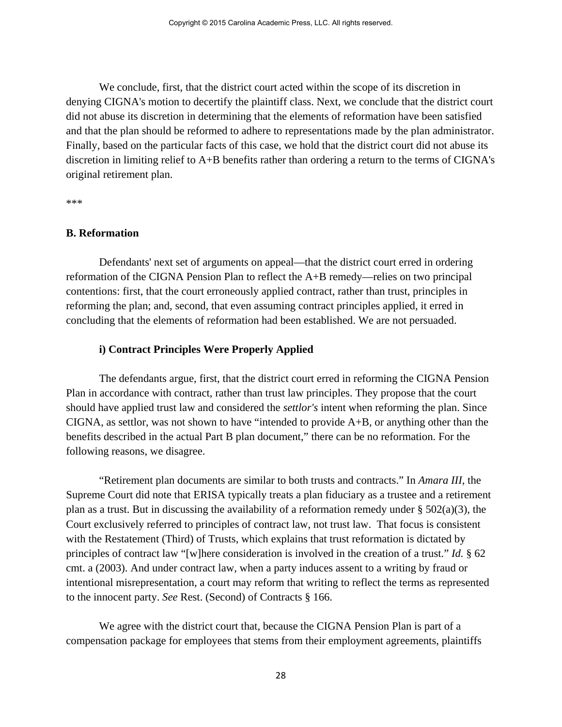We conclude, first, that the district court acted within the scope of its discretion in denying CIGNA's motion to decertify the plaintiff class. Next, we conclude that the district court did not abuse its discretion in determining that the elements of reformation have been satisfied and that the plan should be reformed to adhere to representations made by the plan administrator. Finally, based on the particular facts of this case, we hold that the district court did not abuse its discretion in limiting relief to A+B benefits rather than ordering a return to the terms of CIGNA's original retirement plan.

\*\*\*

#### **B. Reformation**

Defendants' next set of arguments on appeal—that the district court erred in ordering reformation of the CIGNA Pension Plan to reflect the A+B remedy—relies on two principal contentions: first, that the court erroneously applied contract, rather than trust, principles in reforming the plan; and, second, that even assuming contract principles applied, it erred in concluding that the elements of reformation had been established. We are not persuaded.

#### **i) Contract Principles Were Properly Applied**

The defendants argue, first, that the district court erred in reforming the CIGNA Pension Plan in accordance with contract, rather than trust law principles. They propose that the court should have applied trust law and considered the *settlor's* intent when reforming the plan. Since CIGNA, as settlor, was not shown to have "intended to provide A+B, or anything other than the benefits described in the actual Part B plan document," there can be no reformation. For the following reasons, we disagree.

"Retirement plan documents are similar to both trusts and contracts." In *Amara III,* the Supreme Court did note that ERISA typically treats a plan fiduciary as a trustee and a retirement plan as a trust. But in discussing the availability of a reformation remedy under  $\S 502(a)(3)$ , the Court exclusively referred to principles of contract law, not trust law. That focus is consistent with the Restatement (Third) of Trusts, which explains that trust reformation is dictated by principles of contract law "[w]here consideration is involved in the creation of a trust." *Id.* § 62 cmt. a (2003). And under contract law, when a party induces assent to a writing by fraud or intentional misrepresentation, a court may reform that writing to reflect the terms as represented to the innocent party. *See* Rest. (Second) of Contracts § 166.

We agree with the district court that, because the CIGNA Pension Plan is part of a compensation package for employees that stems from their employment agreements, plaintiffs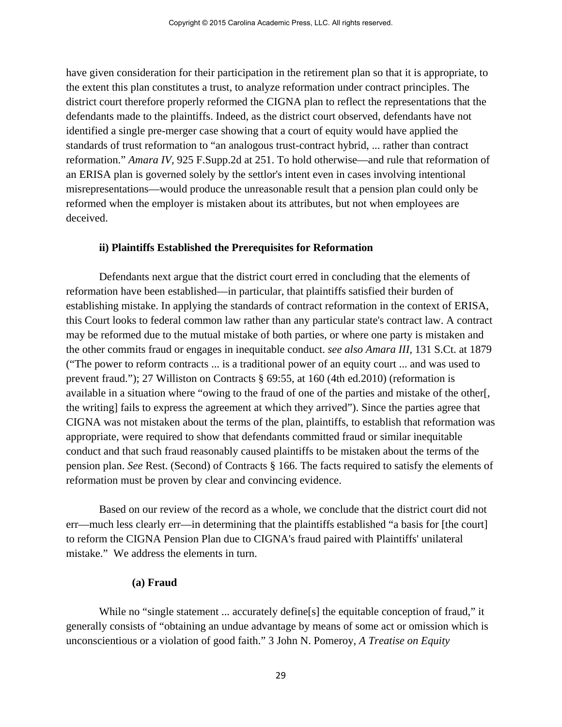have given consideration for their participation in the retirement plan so that it is appropriate, to the extent this plan constitutes a trust, to analyze reformation under contract principles. The district court therefore properly reformed the CIGNA plan to reflect the representations that the defendants made to the plaintiffs. Indeed, as the district court observed, defendants have not identified a single pre-merger case showing that a court of equity would have applied the standards of trust reformation to "an analogous trust-contract hybrid, ... rather than contract reformation." *Amara IV,* 925 F.Supp.2d at 251. To hold otherwise—and rule that reformation of an ERISA plan is governed solely by the settlor's intent even in cases involving intentional misrepresentations—would produce the unreasonable result that a pension plan could only be reformed when the employer is mistaken about its attributes, but not when employees are deceived.

#### **ii) Plaintiffs Established the Prerequisites for Reformation**

Defendants next argue that the district court erred in concluding that the elements of reformation have been established—in particular, that plaintiffs satisfied their burden of establishing mistake. In applying the standards of contract reformation in the context of ERISA, this Court looks to federal common law rather than any particular state's contract law. A contract may be reformed due to the mutual mistake of both parties, or where one party is mistaken and the other commits fraud or engages in inequitable conduct. *see also Amara III,* 131 S.Ct. at 1879 ("The power to reform contracts ... is a traditional power of an equity court ... and was used to prevent fraud."); 27 Williston on Contracts § 69:55, at 160 (4th ed.2010) (reformation is available in a situation where "owing to the fraud of one of the parties and mistake of the other[, the writing] fails to express the agreement at which they arrived"). Since the parties agree that CIGNA was not mistaken about the terms of the plan, plaintiffs, to establish that reformation was appropriate, were required to show that defendants committed fraud or similar inequitable conduct and that such fraud reasonably caused plaintiffs to be mistaken about the terms of the pension plan. *See* Rest. (Second) of Contracts § 166. The facts required to satisfy the elements of reformation must be proven by clear and convincing evidence.

Based on our review of the record as a whole, we conclude that the district court did not err—much less clearly err—in determining that the plaintiffs established "a basis for [the court] to reform the CIGNA Pension Plan due to CIGNA's fraud paired with Plaintiffs' unilateral mistake." We address the elements in turn.

#### **(a) Fraud**

While no "single statement ... accurately define[s] the equitable conception of fraud," it generally consists of "obtaining an undue advantage by means of some act or omission which is unconscientious or a violation of good faith." 3 John N. Pomeroy, *A Treatise on Equity*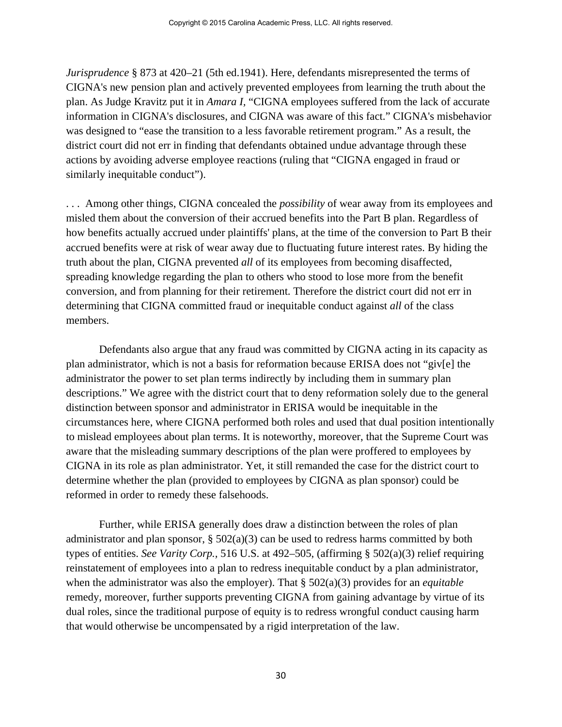*Jurisprudence* § 873 at 420–21 (5th ed.1941). Here, defendants misrepresented the terms of CIGNA's new pension plan and actively prevented employees from learning the truth about the plan. As Judge Kravitz put it in *Amara I,* "CIGNA employees suffered from the lack of accurate information in CIGNA's disclosures, and CIGNA was aware of this fact." CIGNA's misbehavior was designed to "ease the transition to a less favorable retirement program." As a result, the district court did not err in finding that defendants obtained undue advantage through these actions by avoiding adverse employee reactions (ruling that "CIGNA engaged in fraud or similarly inequitable conduct").

. . . Among other things, CIGNA concealed the *possibility* of wear away from its employees and misled them about the conversion of their accrued benefits into the Part B plan. Regardless of how benefits actually accrued under plaintiffs' plans, at the time of the conversion to Part B their accrued benefits were at risk of wear away due to fluctuating future interest rates. By hiding the truth about the plan, CIGNA prevented *all* of its employees from becoming disaffected, spreading knowledge regarding the plan to others who stood to lose more from the benefit conversion, and from planning for their retirement. Therefore the district court did not err in determining that CIGNA committed fraud or inequitable conduct against *all* of the class members.

Defendants also argue that any fraud was committed by CIGNA acting in its capacity as plan administrator, which is not a basis for reformation because ERISA does not "giv[e] the administrator the power to set plan terms indirectly by including them in summary plan descriptions." We agree with the district court that to deny reformation solely due to the general distinction between sponsor and administrator in ERISA would be inequitable in the circumstances here, where CIGNA performed both roles and used that dual position intentionally to mislead employees about plan terms. It is noteworthy, moreover, that the Supreme Court was aware that the misleading summary descriptions of the plan were proffered to employees by CIGNA in its role as plan administrator. Yet, it still remanded the case for the district court to determine whether the plan (provided to employees by CIGNA as plan sponsor) could be reformed in order to remedy these falsehoods.

Further, while ERISA generally does draw a distinction between the roles of plan administrator and plan sponsor, § 502(a)(3) can be used to redress harms committed by both types of entities. *See Varity Corp.,* 516 U.S. at 492–505, (affirming § 502(a)(3) relief requiring reinstatement of employees into a plan to redress inequitable conduct by a plan administrator, when the administrator was also the employer). That § 502(a)(3) provides for an *equitable* remedy, moreover, further supports preventing CIGNA from gaining advantage by virtue of its dual roles, since the traditional purpose of equity is to redress wrongful conduct causing harm that would otherwise be uncompensated by a rigid interpretation of the law.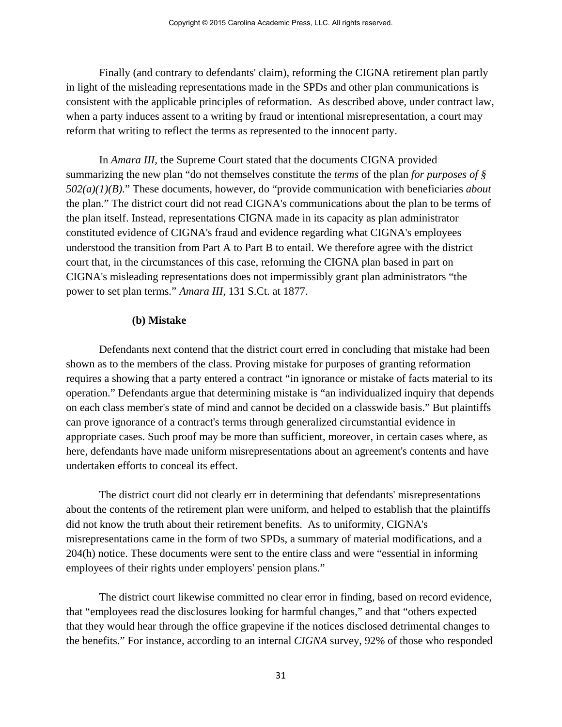Finally (and contrary to defendants' claim), reforming the CIGNA retirement plan partly in light of the misleading representations made in the SPDs and other plan communications is consistent with the applicable principles of reformation. As described above, under contract law, when a party induces assent to a writing by fraud or intentional misrepresentation, a court may reform that writing to reflect the terms as represented to the innocent party.

In *Amara III,* the Supreme Court stated that the documents CIGNA provided summarizing the new plan "do not themselves constitute the *terms* of the plan *for purposes of § 502(a)(1)(B).*" These documents, however, do "provide communication with beneficiaries *about* the plan." The district court did not read CIGNA's communications about the plan to be terms of the plan itself. Instead, representations CIGNA made in its capacity as plan administrator constituted evidence of CIGNA's fraud and evidence regarding what CIGNA's employees understood the transition from Part A to Part B to entail. We therefore agree with the district court that, in the circumstances of this case, reforming the CIGNA plan based in part on CIGNA's misleading representations does not impermissibly grant plan administrators "the power to set plan terms." *Amara III,* 131 S.Ct. at 1877.

#### **(b) Mistake**

Defendants next contend that the district court erred in concluding that mistake had been shown as to the members of the class. Proving mistake for purposes of granting reformation requires a showing that a party entered a contract "in ignorance or mistake of facts material to its operation." Defendants argue that determining mistake is "an individualized inquiry that depends on each class member's state of mind and cannot be decided on a classwide basis." But plaintiffs can prove ignorance of a contract's terms through generalized circumstantial evidence in appropriate cases. Such proof may be more than sufficient, moreover, in certain cases where, as here, defendants have made uniform misrepresentations about an agreement's contents and have undertaken efforts to conceal its effect.

The district court did not clearly err in determining that defendants' misrepresentations about the contents of the retirement plan were uniform, and helped to establish that the plaintiffs did not know the truth about their retirement benefits. As to uniformity, CIGNA's misrepresentations came in the form of two SPDs, a summary of material modifications, and a 204(h) notice. These documents were sent to the entire class and were "essential in informing employees of their rights under employers' pension plans."

The district court likewise committed no clear error in finding, based on record evidence, that "employees read the disclosures looking for harmful changes," and that "others expected that they would hear through the office grapevine if the notices disclosed detrimental changes to the benefits." For instance, according to an internal *CIGNA* survey, 92% of those who responded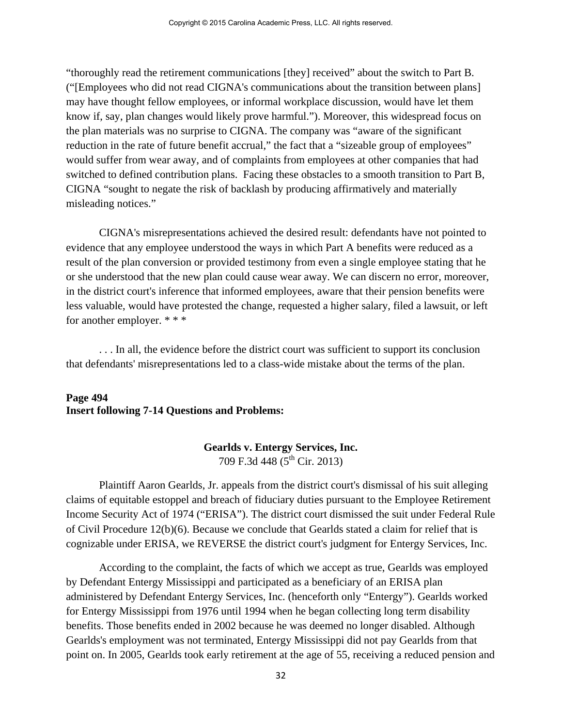"thoroughly read the retirement communications [they] received" about the switch to Part B. ("[Employees who did not read CIGNA's communications about the transition between plans] may have thought fellow employees, or informal workplace discussion, would have let them know if, say, plan changes would likely prove harmful."). Moreover, this widespread focus on the plan materials was no surprise to CIGNA. The company was "aware of the significant reduction in the rate of future benefit accrual," the fact that a "sizeable group of employees" would suffer from wear away, and of complaints from employees at other companies that had switched to defined contribution plans. Facing these obstacles to a smooth transition to Part B, CIGNA "sought to negate the risk of backlash by producing affirmatively and materially misleading notices."

CIGNA's misrepresentations achieved the desired result: defendants have not pointed to evidence that any employee understood the ways in which Part A benefits were reduced as a result of the plan conversion or provided testimony from even a single employee stating that he or she understood that the new plan could cause wear away. We can discern no error, moreover, in the district court's inference that informed employees, aware that their pension benefits were less valuable, would have protested the change, requested a higher salary, filed a lawsuit, or left for another employer. \* \* \*

. . . In all, the evidence before the district court was sufficient to support its conclusion that defendants' misrepresentations led to a class-wide mistake about the terms of the plan.

### **Page 494 Insert following 7-14 Questions and Problems:**

#### **Gearlds v. Entergy Services, Inc.** 709 F.3d 448 ( $5^{\text{th}}$  Cir. 2013)

Plaintiff Aaron Gearlds, Jr. appeals from the district court's dismissal of his suit alleging claims of equitable estoppel and breach of fiduciary duties pursuant to the Employee Retirement Income Security Act of 1974 ("ERISA"). The district court dismissed the suit under Federal Rule of Civil Procedure 12(b)(6). Because we conclude that Gearlds stated a claim for relief that is cognizable under ERISA, we REVERSE the district court's judgment for Entergy Services, Inc.

According to the complaint, the facts of which we accept as true, Gearlds was employed by Defendant Entergy Mississippi and participated as a beneficiary of an ERISA plan administered by Defendant Entergy Services, Inc. (henceforth only "Entergy"). Gearlds worked for Entergy Mississippi from 1976 until 1994 when he began collecting long term disability benefits. Those benefits ended in 2002 because he was deemed no longer disabled. Although Gearlds's employment was not terminated, Entergy Mississippi did not pay Gearlds from that point on. In 2005, Gearlds took early retirement at the age of 55, receiving a reduced pension and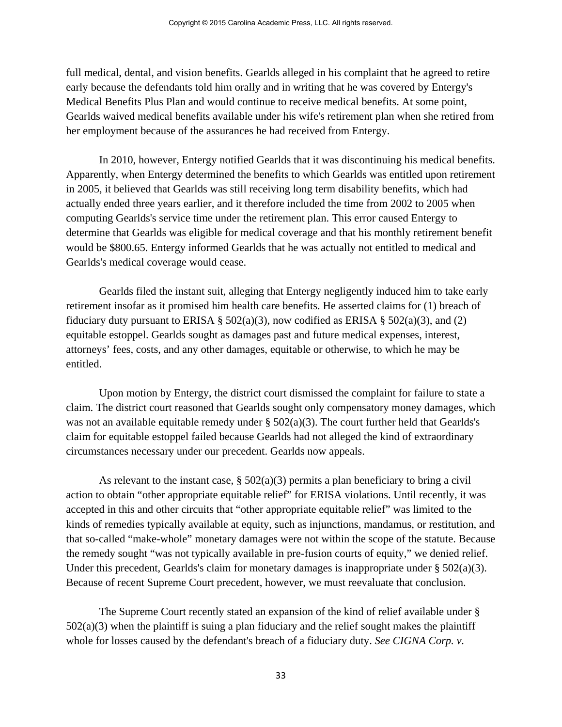full medical, dental, and vision benefits. Gearlds alleged in his complaint that he agreed to retire early because the defendants told him orally and in writing that he was covered by Entergy's Medical Benefits Plus Plan and would continue to receive medical benefits. At some point, Gearlds waived medical benefits available under his wife's retirement plan when she retired from her employment because of the assurances he had received from Entergy.

In 2010, however, Entergy notified Gearlds that it was discontinuing his medical benefits. Apparently, when Entergy determined the benefits to which Gearlds was entitled upon retirement in 2005, it believed that Gearlds was still receiving long term disability benefits, which had actually ended three years earlier, and it therefore included the time from 2002 to 2005 when computing Gearlds's service time under the retirement plan. This error caused Entergy to determine that Gearlds was eligible for medical coverage and that his monthly retirement benefit would be \$800.65. Entergy informed Gearlds that he was actually not entitled to medical and Gearlds's medical coverage would cease.

Gearlds filed the instant suit, alleging that Entergy negligently induced him to take early retirement insofar as it promised him health care benefits. He asserted claims for (1) breach of fiduciary duty pursuant to ERISA § 502(a)(3), now codified as ERISA § 502(a)(3), and (2) equitable estoppel. Gearlds sought as damages past and future medical expenses, interest, attorneys' fees, costs, and any other damages, equitable or otherwise, to which he may be entitled.

Upon motion by Entergy, the district court dismissed the complaint for failure to state a claim. The district court reasoned that Gearlds sought only compensatory money damages, which was not an available equitable remedy under  $\S$  502(a)(3). The court further held that Gearlds's claim for equitable estoppel failed because Gearlds had not alleged the kind of extraordinary circumstances necessary under our precedent. Gearlds now appeals.

As relevant to the instant case,  $\S 502(a)(3)$  permits a plan beneficiary to bring a civil action to obtain "other appropriate equitable relief" for ERISA violations. Until recently, it was accepted in this and other circuits that "other appropriate equitable relief" was limited to the kinds of remedies typically available at equity, such as injunctions, mandamus, or restitution, and that so-called "make-whole" monetary damages were not within the scope of the statute. Because the remedy sought "was not typically available in pre-fusion courts of equity," we denied relief. Under this precedent, Gearlds's claim for monetary damages is inappropriate under § 502(a)(3). Because of recent Supreme Court precedent, however, we must reevaluate that conclusion.

The Supreme Court recently stated an expansion of the kind of relief available under §  $502(a)(3)$  when the plaintiff is suing a plan fiduciary and the relief sought makes the plaintiff whole for losses caused by the defendant's breach of a fiduciary duty. *See CIGNA Corp. v.*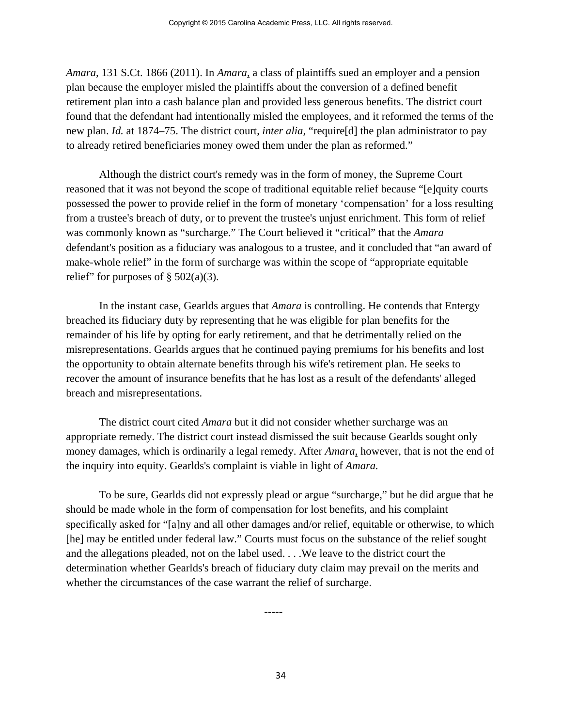*Amara,* 131 S.Ct. 1866 (2011). In *Amara,* a class of plaintiffs sued an employer and a pension plan because the employer misled the plaintiffs about the conversion of a defined benefit retirement plan into a cash balance plan and provided less generous benefits. The district court found that the defendant had intentionally misled the employees, and it reformed the terms of the new plan. *Id.* at 1874–75. The district court, *inter alia,* "require[d] the plan administrator to pay to already retired beneficiaries money owed them under the plan as reformed."

Although the district court's remedy was in the form of money, the Supreme Court reasoned that it was not beyond the scope of traditional equitable relief because "[e]quity courts possessed the power to provide relief in the form of monetary 'compensation' for a loss resulting from a trustee's breach of duty, or to prevent the trustee's unjust enrichment. This form of relief was commonly known as "surcharge." The Court believed it "critical" that the *Amara* defendant's position as a fiduciary was analogous to a trustee, and it concluded that "an award of make-whole relief" in the form of surcharge was within the scope of "appropriate equitable relief" for purposes of  $\S 502(a)(3)$ .

In the instant case, Gearlds argues that *Amara* is controlling. He contends that Entergy breached its fiduciary duty by representing that he was eligible for plan benefits for the remainder of his life by opting for early retirement, and that he detrimentally relied on the misrepresentations. Gearlds argues that he continued paying premiums for his benefits and lost the opportunity to obtain alternate benefits through his wife's retirement plan. He seeks to recover the amount of insurance benefits that he has lost as a result of the defendants' alleged breach and misrepresentations.

 The district court cited *Amara* but it did not consider whether surcharge was an appropriate remedy. The district court instead dismissed the suit because Gearlds sought only money damages, which is ordinarily a legal remedy. After *Amara,* however, that is not the end of the inquiry into equity. Gearlds's complaint is viable in light of *Amara.*

 To be sure, Gearlds did not expressly plead or argue "surcharge," but he did argue that he should be made whole in the form of compensation for lost benefits, and his complaint specifically asked for "[a]ny and all other damages and/or relief, equitable or otherwise, to which [he] may be entitled under federal law." Courts must focus on the substance of the relief sought and the allegations pleaded, not on the label used. . . .We leave to the district court the determination whether Gearlds's breach of fiduciary duty claim may prevail on the merits and whether the circumstances of the case warrant the relief of surcharge.

34

-----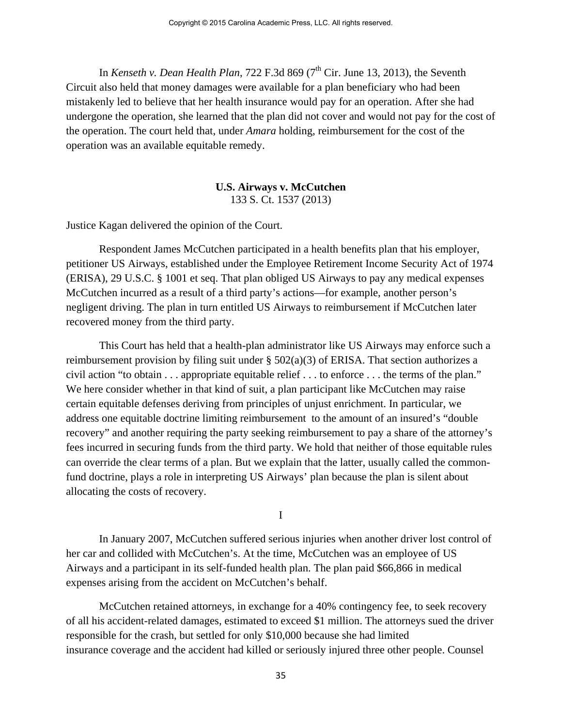In *Kenseth v. Dean Health Plan*, 722 F.3d 869 ( $7<sup>th</sup>$  Cir. June 13, 2013), the Seventh Circuit also held that money damages were available for a plan beneficiary who had been mistakenly led to believe that her health insurance would pay for an operation. After she had undergone the operation, she learned that the plan did not cover and would not pay for the cost of the operation. The court held that, under *Amara* holding, reimbursement for the cost of the operation was an available equitable remedy.

## **U.S. Airways v. McCutchen**

133 S. Ct. 1537 (2013)

Justice Kagan delivered the opinion of the Court.

Respondent James McCutchen participated in a health benefits plan that his employer, petitioner US Airways, established under the Employee Retirement Income Security Act of 1974 (ERISA), 29 U.S.C. § 1001 et seq. That plan obliged US Airways to pay any medical expenses McCutchen incurred as a result of a third party's actions—for example, another person's negligent driving. The plan in turn entitled US Airways to reimbursement if McCutchen later recovered money from the third party.

This Court has held that a health-plan administrator like US Airways may enforce such a reimbursement provision by filing suit under § 502(a)(3) of ERISA. That section authorizes a civil action "to obtain . . . appropriate equitable relief . . . to enforce . . . the terms of the plan." We here consider whether in that kind of suit, a plan participant like McCutchen may raise certain equitable defenses deriving from principles of unjust enrichment. In particular, we address one equitable doctrine limiting reimbursement to the amount of an insured's "double recovery" and another requiring the party seeking reimbursement to pay a share of the attorney's fees incurred in securing funds from the third party. We hold that neither of those equitable rules can override the clear terms of a plan. But we explain that the latter, usually called the commonfund doctrine, plays a role in interpreting US Airways' plan because the plan is silent about allocating the costs of recovery.

I

In January 2007, McCutchen suffered serious injuries when another driver lost control of her car and collided with McCutchen's. At the time, McCutchen was an employee of US Airways and a participant in its self-funded health plan. The plan paid \$66,866 in medical expenses arising from the accident on McCutchen's behalf.

McCutchen retained attorneys, in exchange for a 40% contingency fee, to seek recovery of all his accident-related damages, estimated to exceed \$1 million. The attorneys sued the driver responsible for the crash, but settled for only \$10,000 because she had limited insurance coverage and the accident had killed or seriously injured three other people. Counsel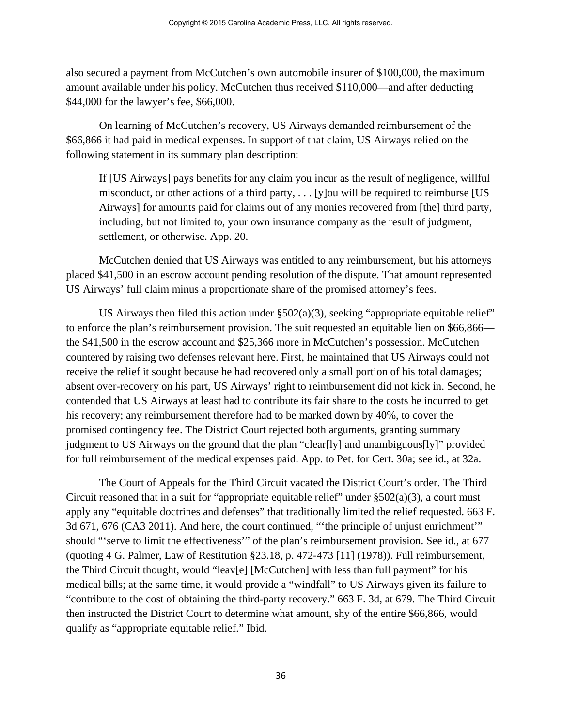also secured a payment from McCutchen's own automobile insurer of \$100,000, the maximum amount available under his policy. McCutchen thus received \$110,000—and after deducting \$44,000 for the lawyer's fee, \$66,000.

On learning of McCutchen's recovery, US Airways demanded reimbursement of the \$66,866 it had paid in medical expenses. In support of that claim, US Airways relied on the following statement in its summary plan description:

If [US Airways] pays benefits for any claim you incur as the result of negligence, willful misconduct, or other actions of a third party, . . . [y]ou will be required to reimburse [US Airways] for amounts paid for claims out of any monies recovered from [the] third party, including, but not limited to, your own insurance company as the result of judgment, settlement, or otherwise. App. 20.

McCutchen denied that US Airways was entitled to any reimbursement, but his attorneys placed \$41,500 in an escrow account pending resolution of the dispute. That amount represented US Airways' full claim minus a proportionate share of the promised attorney's fees.

US Airways then filed this action under  $\S502(a)(3)$ , seeking "appropriate equitable relief" to enforce the plan's reimbursement provision. The suit requested an equitable lien on \$66,866 the \$41,500 in the escrow account and \$25,366 more in McCutchen's possession. McCutchen countered by raising two defenses relevant here. First, he maintained that US Airways could not receive the relief it sought because he had recovered only a small portion of his total damages; absent over-recovery on his part, US Airways' right to reimbursement did not kick in. Second, he contended that US Airways at least had to contribute its fair share to the costs he incurred to get his recovery; any reimbursement therefore had to be marked down by 40%, to cover the promised contingency fee. The District Court rejected both arguments, granting summary judgment to US Airways on the ground that the plan "clear[ly] and unambiguous[ly]" provided for full reimbursement of the medical expenses paid. App. to Pet. for Cert. 30a; see id., at 32a.

The Court of Appeals for the Third Circuit vacated the District Court's order. The Third Circuit reasoned that in a suit for "appropriate equitable relief" under  $\S502(a)(3)$ , a court must apply any "equitable doctrines and defenses" that traditionally limited the relief requested. 663 F. 3d 671, 676 (CA3 2011). And here, the court continued, "'the principle of unjust enrichment'" should "'serve to limit the effectiveness'" of the plan's reimbursement provision. See id., at 677 (quoting 4 G. Palmer, Law of Restitution §23.18, p. 472-473 [11] (1978)). Full reimbursement, the Third Circuit thought, would "leav[e] [McCutchen] with less than full payment" for his medical bills; at the same time, it would provide a "windfall" to US Airways given its failure to "contribute to the cost of obtaining the third-party recovery." 663 F. 3d, at 679. The Third Circuit then instructed the District Court to determine what amount, shy of the entire \$66,866, would qualify as "appropriate equitable relief." Ibid.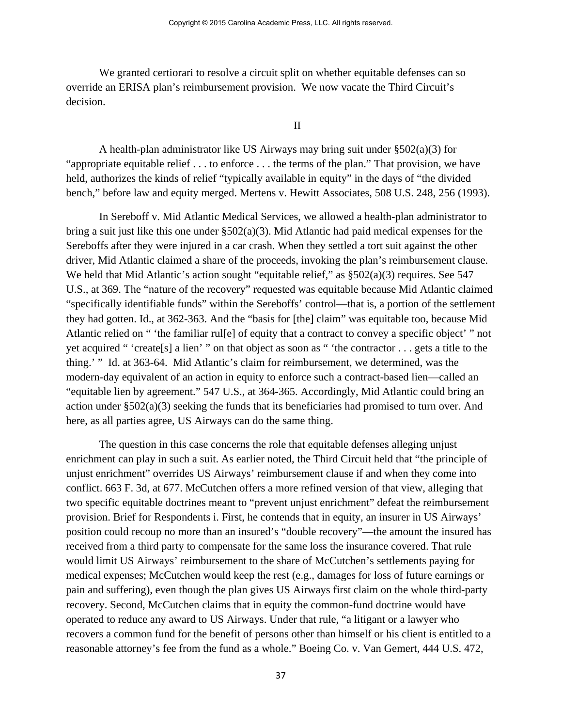We granted certiorari to resolve a circuit split on whether equitable defenses can so override an ERISA plan's reimbursement provision. We now vacate the Third Circuit's decision.

II

A health-plan administrator like US Airways may bring suit under §502(a)(3) for "appropriate equitable relief . . . to enforce . . . the terms of the plan." That provision, we have held, authorizes the kinds of relief "typically available in equity" in the days of "the divided bench," before law and equity merged. Mertens v. Hewitt Associates, 508 U.S. 248, 256 (1993).

In Sereboff v. Mid Atlantic Medical Services, we allowed a health-plan administrator to bring a suit just like this one under §502(a)(3). Mid Atlantic had paid medical expenses for the Sereboffs after they were injured in a car crash. When they settled a tort suit against the other driver, Mid Atlantic claimed a share of the proceeds, invoking the plan's reimbursement clause. We held that Mid Atlantic's action sought "equitable relief," as  $\S502(a)(3)$  requires. See 547 U.S., at 369. The "nature of the recovery" requested was equitable because Mid Atlantic claimed "specifically identifiable funds" within the Sereboffs' control—that is, a portion of the settlement they had gotten. Id., at 362-363. And the "basis for [the] claim" was equitable too, because Mid Atlantic relied on " 'the familiar rul[e] of equity that a contract to convey a specific object' " not yet acquired " 'create[s] a lien' " on that object as soon as " 'the contractor . . . gets a title to the thing.' " Id. at 363-64. Mid Atlantic's claim for reimbursement, we determined, was the modern-day equivalent of an action in equity to enforce such a contract-based lien—called an "equitable lien by agreement." 547 U.S., at 364-365. Accordingly, Mid Atlantic could bring an action under §502(a)(3) seeking the funds that its beneficiaries had promised to turn over. And here, as all parties agree, US Airways can do the same thing.

The question in this case concerns the role that equitable defenses alleging unjust enrichment can play in such a suit. As earlier noted, the Third Circuit held that "the principle of unjust enrichment" overrides US Airways' reimbursement clause if and when they come into conflict. 663 F. 3d, at 677. McCutchen offers a more refined version of that view, alleging that two specific equitable doctrines meant to "prevent unjust enrichment" defeat the reimbursement provision. Brief for Respondents i. First, he contends that in equity, an insurer in US Airways' position could recoup no more than an insured's "double recovery"—the amount the insured has received from a third party to compensate for the same loss the insurance covered. That rule would limit US Airways' reimbursement to the share of McCutchen's settlements paying for medical expenses; McCutchen would keep the rest (e.g., damages for loss of future earnings or pain and suffering), even though the plan gives US Airways first claim on the whole third-party recovery. Second, McCutchen claims that in equity the common-fund doctrine would have operated to reduce any award to US Airways. Under that rule, "a litigant or a lawyer who recovers a common fund for the benefit of persons other than himself or his client is entitled to a reasonable attorney's fee from the fund as a whole." Boeing Co. v. Van Gemert, 444 U.S. 472,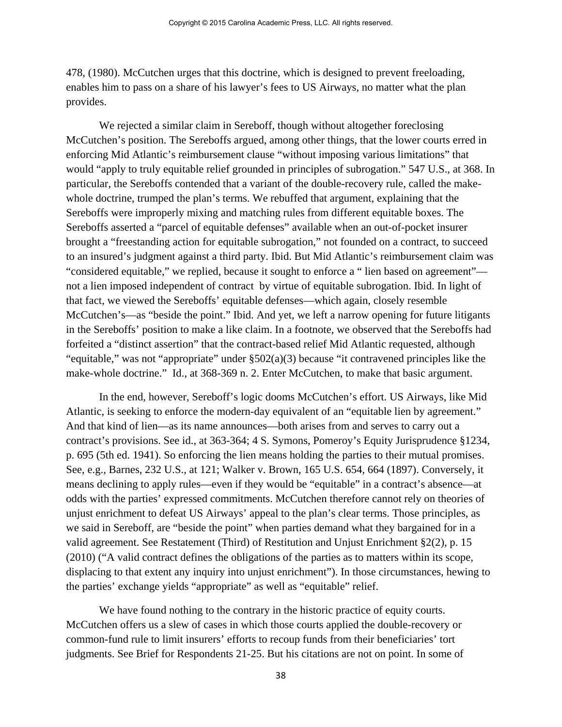478, (1980). McCutchen urges that this doctrine, which is designed to prevent freeloading, enables him to pass on a share of his lawyer's fees to US Airways, no matter what the plan provides.

We rejected a similar claim in Sereboff, though without altogether foreclosing McCutchen's position. The Sereboffs argued, among other things, that the lower courts erred in enforcing Mid Atlantic's reimbursement clause "without imposing various limitations" that would "apply to truly equitable relief grounded in principles of subrogation." 547 U.S., at 368. In particular, the Sereboffs contended that a variant of the double-recovery rule, called the makewhole doctrine, trumped the plan's terms. We rebuffed that argument, explaining that the Sereboffs were improperly mixing and matching rules from different equitable boxes. The Sereboffs asserted a "parcel of equitable defenses" available when an out-of-pocket insurer brought a "freestanding action for equitable subrogation," not founded on a contract, to succeed to an insured's judgment against a third party. Ibid. But Mid Atlantic's reimbursement claim was "considered equitable," we replied, because it sought to enforce a " lien based on agreement" not a lien imposed independent of contract by virtue of equitable subrogation. Ibid. In light of that fact, we viewed the Sereboffs' equitable defenses—which again, closely resemble McCutchen's—as "beside the point." Ibid. And yet, we left a narrow opening for future litigants in the Sereboffs' position to make a like claim. In a footnote, we observed that the Sereboffs had forfeited a "distinct assertion" that the contract-based relief Mid Atlantic requested, although "equitable," was not "appropriate" under §502(a)(3) because "it contravened principles like the make-whole doctrine." Id., at 368-369 n. 2. Enter McCutchen, to make that basic argument.

In the end, however, Sereboff's logic dooms McCutchen's effort. US Airways, like Mid Atlantic, is seeking to enforce the modern-day equivalent of an "equitable lien by agreement." And that kind of lien—as its name announces—both arises from and serves to carry out a contract's provisions. See id., at 363-364; 4 S. Symons, Pomeroy's Equity Jurisprudence §1234, p. 695 (5th ed. 1941). So enforcing the lien means holding the parties to their mutual promises. See, e.g., Barnes, 232 U.S., at 121; Walker v. Brown, 165 U.S. 654, 664 (1897). Conversely, it means declining to apply rules—even if they would be "equitable" in a contract's absence—at odds with the parties' expressed commitments. McCutchen therefore cannot rely on theories of unjust enrichment to defeat US Airways' appeal to the plan's clear terms. Those principles, as we said in Sereboff, are "beside the point" when parties demand what they bargained for in a valid agreement. See Restatement (Third) of Restitution and Unjust Enrichment §2(2), p. 15 (2010) ("A valid contract defines the obligations of the parties as to matters within its scope, displacing to that extent any inquiry into unjust enrichment"). In those circumstances, hewing to the parties' exchange yields "appropriate" as well as "equitable" relief.

We have found nothing to the contrary in the historic practice of equity courts. McCutchen offers us a slew of cases in which those courts applied the double-recovery or common-fund rule to limit insurers' efforts to recoup funds from their beneficiaries' tort judgments. See Brief for Respondents 21-25. But his citations are not on point. In some of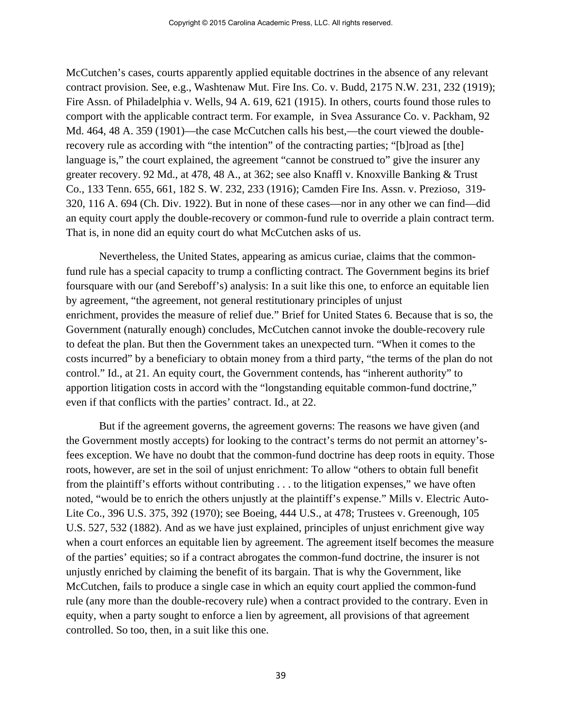McCutchen's cases, courts apparently applied equitable doctrines in the absence of any relevant contract provision. See, e.g., Washtenaw Mut. Fire Ins. Co. v. Budd, 2175 N.W. 231, 232 (1919); Fire Assn. of Philadelphia v. Wells, 94 A. 619, 621 (1915). In others, courts found those rules to comport with the applicable contract term. For example, in Svea Assurance Co. v. Packham, 92 Md. 464, 48 A. 359 (1901)—the case McCutchen calls his best,—the court viewed the doublerecovery rule as according with "the intention" of the contracting parties; "[b]road as [the] language is," the court explained, the agreement "cannot be construed to" give the insurer any greater recovery. 92 Md., at 478, 48 A., at 362; see also Knaffl v. Knoxville Banking & Trust Co., 133 Tenn. 655, 661, 182 S. W. 232, 233 (1916); Camden Fire Ins. Assn. v. Prezioso, 319- 320, 116 A. 694 (Ch. Div. 1922). But in none of these cases—nor in any other we can find—did an equity court apply the double-recovery or common-fund rule to override a plain contract term. That is, in none did an equity court do what McCutchen asks of us.

Nevertheless, the United States, appearing as amicus curiae, claims that the commonfund rule has a special capacity to trump a conflicting contract. The Government begins its brief foursquare with our (and Sereboff's) analysis: In a suit like this one, to enforce an equitable lien by agreement, "the agreement, not general restitutionary principles of unjust enrichment, provides the measure of relief due." Brief for United States 6. Because that is so, the Government (naturally enough) concludes, McCutchen cannot invoke the double-recovery rule to defeat the plan. But then the Government takes an unexpected turn. "When it comes to the costs incurred" by a beneficiary to obtain money from a third party, "the terms of the plan do not control." Id., at 21. An equity court, the Government contends, has "inherent authority" to apportion litigation costs in accord with the "longstanding equitable common-fund doctrine," even if that conflicts with the parties' contract. Id., at 22.

But if the agreement governs, the agreement governs: The reasons we have given (and the Government mostly accepts) for looking to the contract's terms do not permit an attorney'sfees exception. We have no doubt that the common-fund doctrine has deep roots in equity. Those roots, however, are set in the soil of unjust enrichment: To allow "others to obtain full benefit from the plaintiff's efforts without contributing . . . to the litigation expenses," we have often noted, "would be to enrich the others unjustly at the plaintiff's expense." Mills v. Electric Auto-Lite Co., 396 U.S. 375, 392 (1970); see Boeing, 444 U.S., at 478; Trustees v. Greenough, 105 U.S. 527, 532 (1882). And as we have just explained, principles of unjust enrichment give way when a court enforces an equitable lien by agreement. The agreement itself becomes the measure of the parties' equities; so if a contract abrogates the common-fund doctrine, the insurer is not unjustly enriched by claiming the benefit of its bargain. That is why the Government, like McCutchen, fails to produce a single case in which an equity court applied the common-fund rule (any more than the double-recovery rule) when a contract provided to the contrary. Even in equity, when a party sought to enforce a lien by agreement, all provisions of that agreement controlled. So too, then, in a suit like this one.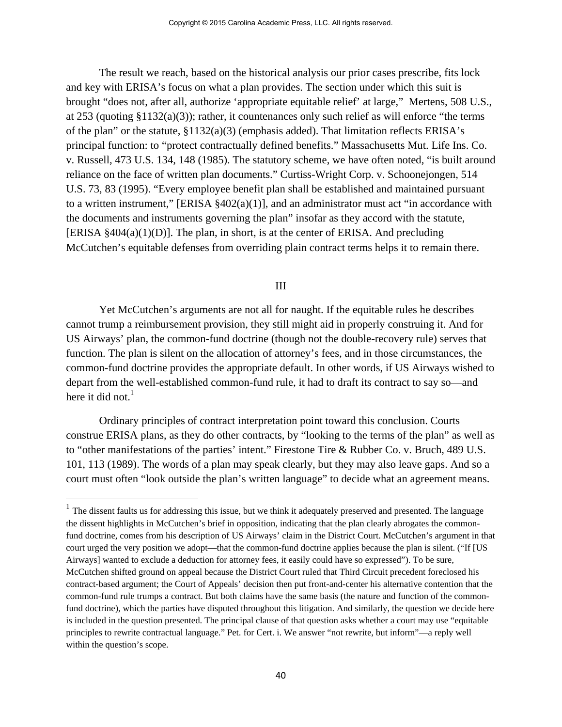The result we reach, based on the historical analysis our prior cases prescribe, fits lock and key with ERISA's focus on what a plan provides. The section under which this suit is brought "does not, after all, authorize 'appropriate equitable relief' at large," Mertens, 508 U.S., at 253 (quoting §1132(a)(3)); rather, it countenances only such relief as will enforce "the terms of the plan" or the statute, §1132(a)(3) (emphasis added). That limitation reflects ERISA's principal function: to "protect contractually defined benefits." Massachusetts Mut. Life Ins. Co. v. Russell, 473 U.S. 134, 148 (1985). The statutory scheme, we have often noted, "is built around reliance on the face of written plan documents." Curtiss-Wright Corp. v. Schoonejongen, 514 U.S. 73, 83 (1995). "Every employee benefit plan shall be established and maintained pursuant to a written instrument," [ERISA  $\S402(a)(1)$ ], and an administrator must act "in accordance with the documents and instruments governing the plan" insofar as they accord with the statute, [ERISA §404(a)(1)(D)]. The plan, in short, is at the center of ERISA. And precluding McCutchen's equitable defenses from overriding plain contract terms helps it to remain there.

#### III

Yet McCutchen's arguments are not all for naught. If the equitable rules he describes cannot trump a reimbursement provision, they still might aid in properly construing it. And for US Airways' plan, the common-fund doctrine (though not the double-recovery rule) serves that function. The plan is silent on the allocation of attorney's fees, and in those circumstances, the common-fund doctrine provides the appropriate default. In other words, if US Airways wished to depart from the well-established common-fund rule, it had to draft its contract to say so—and here it did not. $1$ 

Ordinary principles of contract interpretation point toward this conclusion. Courts construe ERISA plans, as they do other contracts, by "looking to the terms of the plan" as well as to "other manifestations of the parties' intent." Firestone Tire & Rubber Co. v. Bruch, 489 U.S. 101, 113 (1989). The words of a plan may speak clearly, but they may also leave gaps. And so a court must often "look outside the plan's written language" to decide what an agreement means.

 $<sup>1</sup>$  The dissent faults us for addressing this issue, but we think it adequately preserved and presented. The language</sup> the dissent highlights in McCutchen's brief in opposition, indicating that the plan clearly abrogates the commonfund doctrine, comes from his description of US Airways' claim in the District Court. McCutchen's argument in that court urged the very position we adopt—that the common-fund doctrine applies because the plan is silent. ("If [US Airways] wanted to exclude a deduction for attorney fees, it easily could have so expressed"). To be sure, McCutchen shifted ground on appeal because the District Court ruled that Third Circuit precedent foreclosed his contract-based argument; the Court of Appeals' decision then put front-and-center his alternative contention that the common-fund rule trumps a contract. But both claims have the same basis (the nature and function of the commonfund doctrine), which the parties have disputed throughout this litigation. And similarly, the question we decide here is included in the question presented. The principal clause of that question asks whether a court may use "equitable principles to rewrite contractual language." Pet. for Cert. i. We answer "not rewrite, but inform"—a reply well within the question's scope.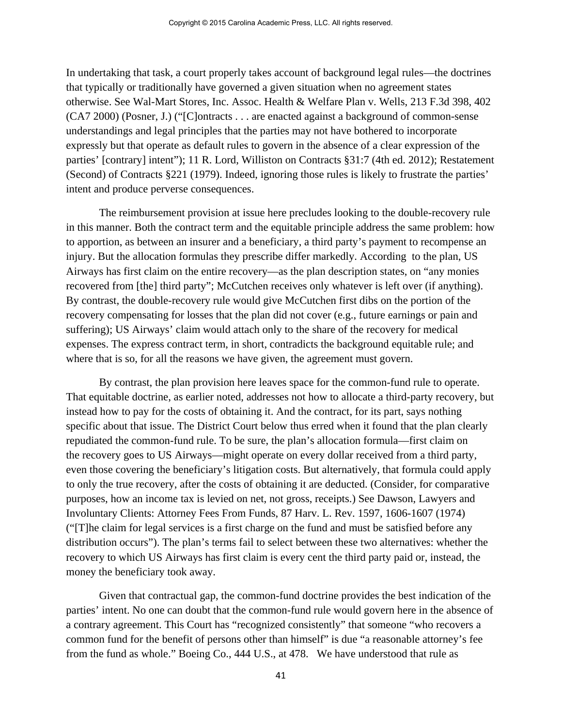In undertaking that task, a court properly takes account of background legal rules—the doctrines that typically or traditionally have governed a given situation when no agreement states otherwise. See Wal-Mart Stores, Inc. Assoc. Health & Welfare Plan v. Wells, 213 F.3d 398, 402 (CA7 2000) (Posner, J.) ("[C]ontracts . . . are enacted against a background of common-sense understandings and legal principles that the parties may not have bothered to incorporate expressly but that operate as default rules to govern in the absence of a clear expression of the parties' [contrary] intent"); 11 R. Lord, Williston on Contracts §31:7 (4th ed. 2012); Restatement (Second) of Contracts §221 (1979). Indeed, ignoring those rules is likely to frustrate the parties' intent and produce perverse consequences.

 The reimbursement provision at issue here precludes looking to the double-recovery rule in this manner. Both the contract term and the equitable principle address the same problem: how to apportion, as between an insurer and a beneficiary, a third party's payment to recompense an injury. But the allocation formulas they prescribe differ markedly. According to the plan, US Airways has first claim on the entire recovery—as the plan description states, on "any monies recovered from [the] third party"; McCutchen receives only whatever is left over (if anything). By contrast, the double-recovery rule would give McCutchen first dibs on the portion of the recovery compensating for losses that the plan did not cover (e.g., future earnings or pain and suffering); US Airways' claim would attach only to the share of the recovery for medical expenses. The express contract term, in short, contradicts the background equitable rule; and where that is so, for all the reasons we have given, the agreement must govern.

By contrast, the plan provision here leaves space for the common-fund rule to operate. That equitable doctrine, as earlier noted, addresses not how to allocate a third-party recovery, but instead how to pay for the costs of obtaining it. And the contract, for its part, says nothing specific about that issue. The District Court below thus erred when it found that the plan clearly repudiated the common-fund rule. To be sure, the plan's allocation formula—first claim on the recovery goes to US Airways—might operate on every dollar received from a third party, even those covering the beneficiary's litigation costs. But alternatively, that formula could apply to only the true recovery, after the costs of obtaining it are deducted. (Consider, for comparative purposes, how an income tax is levied on net, not gross, receipts.) See Dawson, Lawyers and Involuntary Clients: Attorney Fees From Funds, 87 Harv. L. Rev. 1597, 1606-1607 (1974) ("[T]he claim for legal services is a first charge on the fund and must be satisfied before any distribution occurs"). The plan's terms fail to select between these two alternatives: whether the recovery to which US Airways has first claim is every cent the third party paid or, instead, the money the beneficiary took away.

Given that contractual gap, the common-fund doctrine provides the best indication of the parties' intent. No one can doubt that the common-fund rule would govern here in the absence of a contrary agreement. This Court has "recognized consistently" that someone "who recovers a common fund for the benefit of persons other than himself" is due "a reasonable attorney's fee from the fund as whole." Boeing Co., 444 U.S., at 478. We have understood that rule as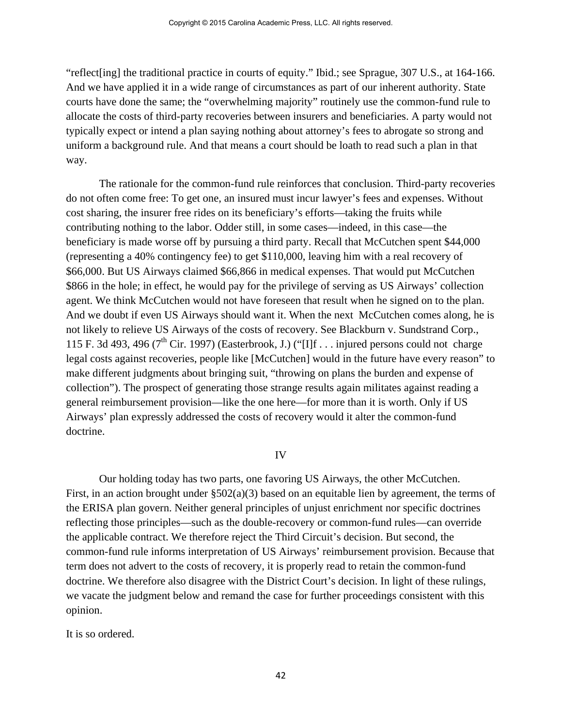"reflect[ing] the traditional practice in courts of equity." Ibid.; see Sprague, 307 U.S., at 164-166. And we have applied it in a wide range of circumstances as part of our inherent authority. State courts have done the same; the "overwhelming majority" routinely use the common-fund rule to allocate the costs of third-party recoveries between insurers and beneficiaries. A party would not typically expect or intend a plan saying nothing about attorney's fees to abrogate so strong and uniform a background rule. And that means a court should be loath to read such a plan in that way.

The rationale for the common-fund rule reinforces that conclusion. Third-party recoveries do not often come free: To get one, an insured must incur lawyer's fees and expenses. Without cost sharing, the insurer free rides on its beneficiary's efforts—taking the fruits while contributing nothing to the labor. Odder still, in some cases—indeed, in this case—the beneficiary is made worse off by pursuing a third party. Recall that McCutchen spent \$44,000 (representing a 40% contingency fee) to get \$110,000, leaving him with a real recovery of \$66,000. But US Airways claimed \$66,866 in medical expenses. That would put McCutchen \$866 in the hole; in effect, he would pay for the privilege of serving as US Airways' collection agent. We think McCutchen would not have foreseen that result when he signed on to the plan. And we doubt if even US Airways should want it. When the next McCutchen comes along, he is not likely to relieve US Airways of the costs of recovery. See Blackburn v. Sundstrand Corp., 115 F. 3d 493, 496 ( $7<sup>th</sup>$  Cir. 1997) (Easterbrook, J.) ("IIf . . . injured persons could not charge legal costs against recoveries, people like [McCutchen] would in the future have every reason" to make different judgments about bringing suit, "throwing on plans the burden and expense of collection"). The prospect of generating those strange results again militates against reading a general reimbursement provision—like the one here—for more than it is worth. Only if US Airways' plan expressly addressed the costs of recovery would it alter the common-fund doctrine.

#### IV

Our holding today has two parts, one favoring US Airways, the other McCutchen. First, in an action brought under §502(a)(3) based on an equitable lien by agreement, the terms of the ERISA plan govern. Neither general principles of unjust enrichment nor specific doctrines reflecting those principles—such as the double-recovery or common-fund rules—can override the applicable contract. We therefore reject the Third Circuit's decision. But second, the common-fund rule informs interpretation of US Airways' reimbursement provision. Because that term does not advert to the costs of recovery, it is properly read to retain the common-fund doctrine. We therefore also disagree with the District Court's decision. In light of these rulings, we vacate the judgment below and remand the case for further proceedings consistent with this opinion.

It is so ordered.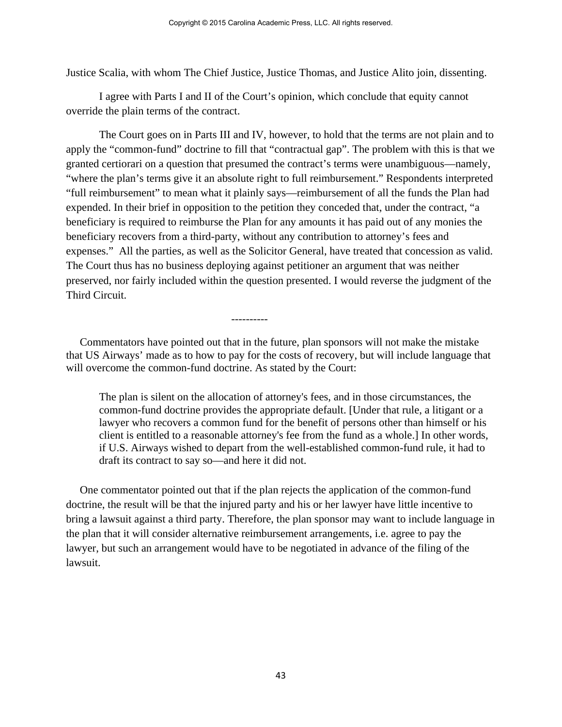Justice Scalia, with whom The Chief Justice, Justice Thomas, and Justice Alito join, dissenting.

I agree with Parts I and II of the Court's opinion, which conclude that equity cannot override the plain terms of the contract.

The Court goes on in Parts III and IV, however, to hold that the terms are not plain and to apply the "common-fund" doctrine to fill that "contractual gap". The problem with this is that we granted certiorari on a question that presumed the contract's terms were unambiguous—namely, "where the plan's terms give it an absolute right to full reimbursement." Respondents interpreted "full reimbursement" to mean what it plainly says—reimbursement of all the funds the Plan had expended. In their brief in opposition to the petition they conceded that, under the contract, "a beneficiary is required to reimburse the Plan for any amounts it has paid out of any monies the beneficiary recovers from a third-party, without any contribution to attorney's fees and expenses." All the parties, as well as the Solicitor General, have treated that concession as valid. The Court thus has no business deploying against petitioner an argument that was neither preserved, nor fairly included within the question presented. I would reverse the judgment of the Third Circuit.

----------

Commentators have pointed out that in the future, plan sponsors will not make the mistake that US Airways' made as to how to pay for the costs of recovery, but will include language that will overcome the common-fund doctrine. As stated by the Court:

 The plan is silent on the allocation of attorney's fees, and in those circumstances, the common-fund doctrine provides the appropriate default. [Under that rule, a litigant or a lawyer who recovers a common fund for the benefit of persons other than himself or his client is entitled to a reasonable attorney's fee from the fund as a whole.] In other words, if U.S. Airways wished to depart from the well-established common-fund rule, it had to draft its contract to say so—and here it did not.

One commentator pointed out that if the plan rejects the application of the common-fund doctrine, the result will be that the injured party and his or her lawyer have little incentive to bring a lawsuit against a third party. Therefore, the plan sponsor may want to include language in the plan that it will consider alternative reimbursement arrangements, i.e. agree to pay the lawyer, but such an arrangement would have to be negotiated in advance of the filing of the lawsuit.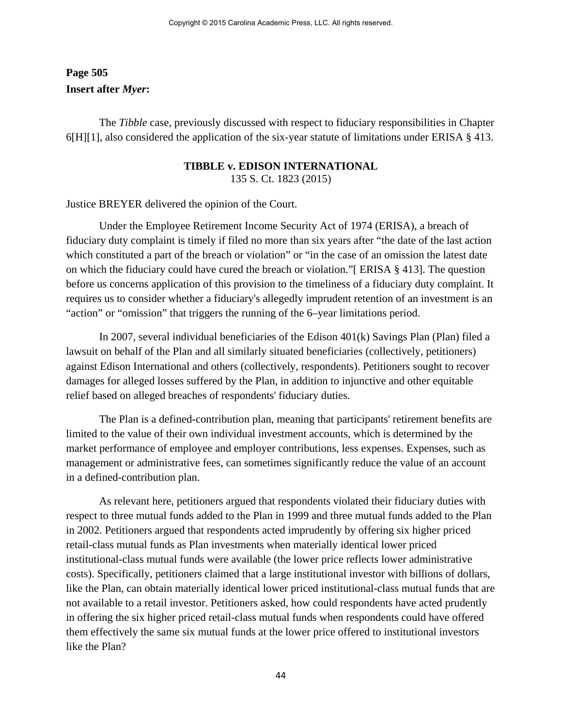## **Page 505 Insert after** *Myer***:**

The *Tibble* case, previously discussed with respect to fiduciary responsibilities in Chapter 6[H][1], also considered the application of the six-year statute of limitations under ERISA § 413.

#### **TIBBLE v. EDISON INTERNATIONAL**  135 S. Ct. 1823 (2015)

Justice BREYER delivered the opinion of the Court.

Under the Employee Retirement Income Security Act of 1974 (ERISA), a breach of fiduciary duty complaint is timely if filed no more than six years after "the date of the last action which constituted a part of the breach or violation" or "in the case of an omission the latest date on which the fiduciary could have cured the breach or violation."[ ERISA § 413]. The question before us concerns application of this provision to the timeliness of a fiduciary duty complaint. It requires us to consider whether a fiduciary's allegedly imprudent retention of an investment is an "action" or "omission" that triggers the running of the 6–year limitations period.

In 2007, several individual beneficiaries of the Edison 401(k) Savings Plan (Plan) filed a lawsuit on behalf of the Plan and all similarly situated beneficiaries (collectively, petitioners) against Edison International and others (collectively, respondents). Petitioners sought to recover damages for alleged losses suffered by the Plan, in addition to injunctive and other equitable relief based on alleged breaches of respondents' fiduciary duties.

The Plan is a defined-contribution plan, meaning that participants' retirement benefits are limited to the value of their own individual investment accounts, which is determined by the market performance of employee and employer contributions, less expenses. Expenses, such as management or administrative fees, can sometimes significantly reduce the value of an account in a defined-contribution plan.

As relevant here, petitioners argued that respondents violated their fiduciary duties with respect to three mutual funds added to the Plan in 1999 and three mutual funds added to the Plan in 2002. Petitioners argued that respondents acted imprudently by offering six higher priced retail-class mutual funds as Plan investments when materially identical lower priced institutional-class mutual funds were available (the lower price reflects lower administrative costs). Specifically, petitioners claimed that a large institutional investor with billions of dollars, like the Plan, can obtain materially identical lower priced institutional-class mutual funds that are not available to a retail investor. Petitioners asked, how could respondents have acted prudently in offering the six higher priced retail-class mutual funds when respondents could have offered them effectively the same six mutual funds at the lower price offered to institutional investors like the Plan?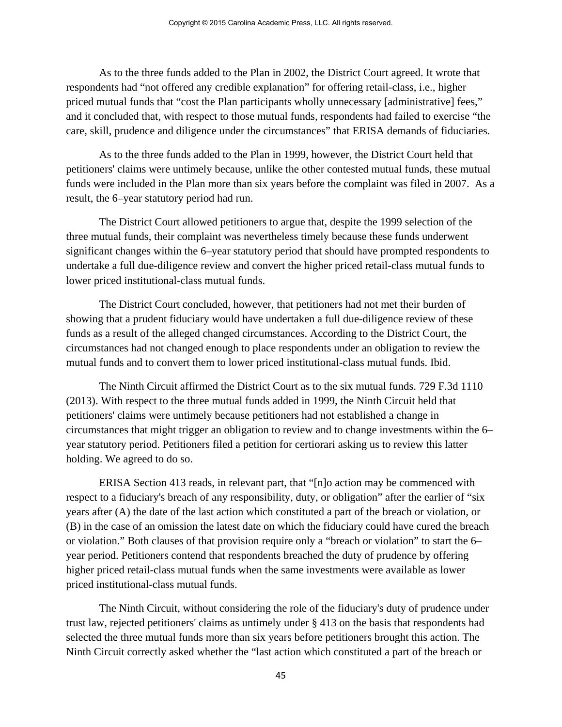As to the three funds added to the Plan in 2002, the District Court agreed. It wrote that respondents had "not offered any credible explanation" for offering retail-class, i.e., higher priced mutual funds that "cost the Plan participants wholly unnecessary [administrative] fees," and it concluded that, with respect to those mutual funds, respondents had failed to exercise "the care, skill, prudence and diligence under the circumstances" that ERISA demands of fiduciaries.

As to the three funds added to the Plan in 1999, however, the District Court held that petitioners' claims were untimely because, unlike the other contested mutual funds, these mutual funds were included in the Plan more than six years before the complaint was filed in 2007. As a result, the 6–year statutory period had run.

 The District Court allowed petitioners to argue that, despite the 1999 selection of the three mutual funds, their complaint was nevertheless timely because these funds underwent significant changes within the 6–year statutory period that should have prompted respondents to undertake a full due-diligence review and convert the higher priced retail-class mutual funds to lower priced institutional-class mutual funds.

The District Court concluded, however, that petitioners had not met their burden of showing that a prudent fiduciary would have undertaken a full due-diligence review of these funds as a result of the alleged changed circumstances. According to the District Court, the circumstances had not changed enough to place respondents under an obligation to review the mutual funds and to convert them to lower priced institutional-class mutual funds. Ibid.

The Ninth Circuit affirmed the District Court as to the six mutual funds. 729 F.3d 1110 (2013). With respect to the three mutual funds added in 1999, the Ninth Circuit held that petitioners' claims were untimely because petitioners had not established a change in circumstances that might trigger an obligation to review and to change investments within the 6– year statutory period. Petitioners filed a petition for certiorari asking us to review this latter holding. We agreed to do so.

ERISA Section 413 reads, in relevant part, that "[n]o action may be commenced with respect to a fiduciary's breach of any responsibility, duty, or obligation" after the earlier of "six years after (A) the date of the last action which constituted a part of the breach or violation, or (B) in the case of an omission the latest date on which the fiduciary could have cured the breach or violation." Both clauses of that provision require only a "breach or violation" to start the 6– year period. Petitioners contend that respondents breached the duty of prudence by offering higher priced retail-class mutual funds when the same investments were available as lower priced institutional-class mutual funds.

The Ninth Circuit, without considering the role of the fiduciary's duty of prudence under trust law, rejected petitioners' claims as untimely under § 413 on the basis that respondents had selected the three mutual funds more than six years before petitioners brought this action. The Ninth Circuit correctly asked whether the "last action which constituted a part of the breach or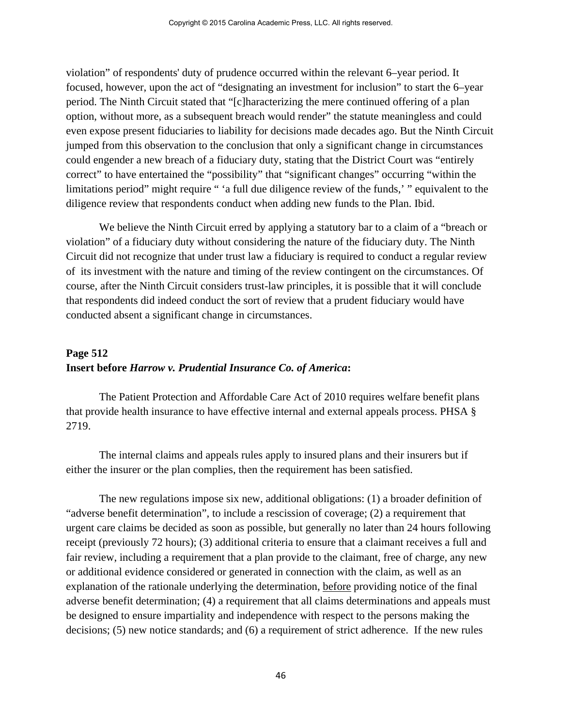violation" of respondents' duty of prudence occurred within the relevant 6–year period. It focused, however, upon the act of "designating an investment for inclusion" to start the 6–year period. The Ninth Circuit stated that "[c]haracterizing the mere continued offering of a plan option, without more, as a subsequent breach would render" the statute meaningless and could even expose present fiduciaries to liability for decisions made decades ago. But the Ninth Circuit jumped from this observation to the conclusion that only a significant change in circumstances could engender a new breach of a fiduciary duty, stating that the District Court was "entirely correct" to have entertained the "possibility" that "significant changes" occurring "within the limitations period" might require " 'a full due diligence review of the funds,' " equivalent to the diligence review that respondents conduct when adding new funds to the Plan. Ibid.

We believe the Ninth Circuit erred by applying a statutory bar to a claim of a "breach or violation" of a fiduciary duty without considering the nature of the fiduciary duty. The Ninth Circuit did not recognize that under trust law a fiduciary is required to conduct a regular review of its investment with the nature and timing of the review contingent on the circumstances. Of course, after the Ninth Circuit considers trust-law principles, it is possible that it will conclude that respondents did indeed conduct the sort of review that a prudent fiduciary would have conducted absent a significant change in circumstances.

## **Page 512 Insert before** *Harrow v. Prudential Insurance Co. of America***:**

 The Patient Protection and Affordable Care Act of 2010 requires welfare benefit plans that provide health insurance to have effective internal and external appeals process. PHSA § 2719.

The internal claims and appeals rules apply to insured plans and their insurers but if either the insurer or the plan complies, then the requirement has been satisfied.

The new regulations impose six new, additional obligations: (1) a broader definition of "adverse benefit determination", to include a rescission of coverage; (2) a requirement that urgent care claims be decided as soon as possible, but generally no later than 24 hours following receipt (previously 72 hours); (3) additional criteria to ensure that a claimant receives a full and fair review, including a requirement that a plan provide to the claimant, free of charge, any new or additional evidence considered or generated in connection with the claim, as well as an explanation of the rationale underlying the determination, before providing notice of the final adverse benefit determination; (4) a requirement that all claims determinations and appeals must be designed to ensure impartiality and independence with respect to the persons making the decisions; (5) new notice standards; and (6) a requirement of strict adherence. If the new rules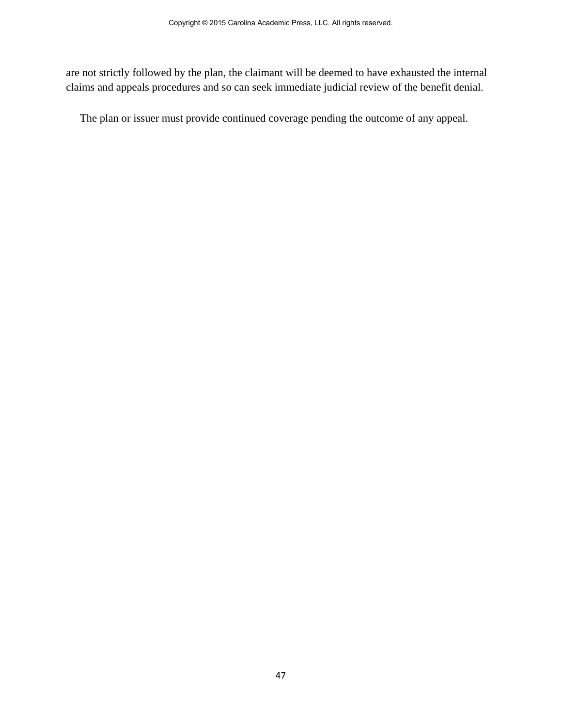are not strictly followed by the plan, the claimant will be deemed to have exhausted the internal claims and appeals procedures and so can seek immediate judicial review of the benefit denial.

The plan or issuer must provide continued coverage pending the outcome of any appeal.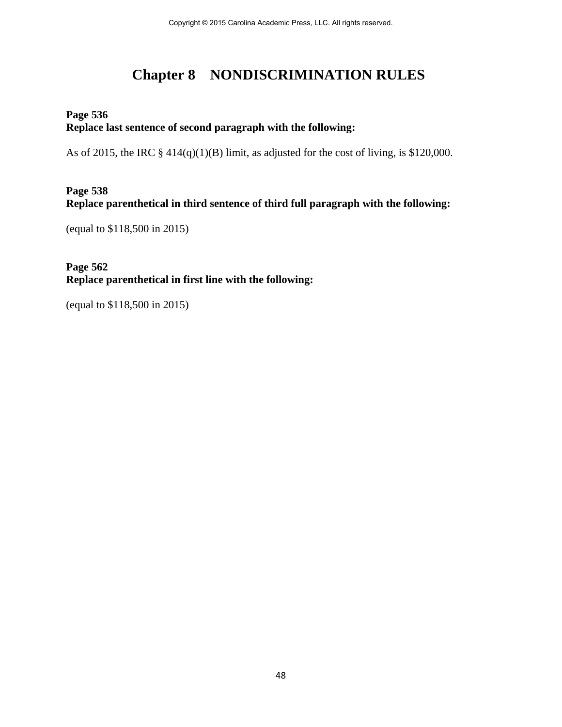## **Chapter 8 NONDISCRIMINATION RULES**

#### **Page 536 Replace last sentence of second paragraph with the following:**

As of 2015, the IRC  $\S$  414(q)(1)(B) limit, as adjusted for the cost of living, is \$120,000.

### **Page 538 Replace parenthetical in third sentence of third full paragraph with the following:**

(equal to \$118,500 in 2015)

#### **Page 562 Replace parenthetical in first line with the following:**

(equal to \$118,500 in 2015)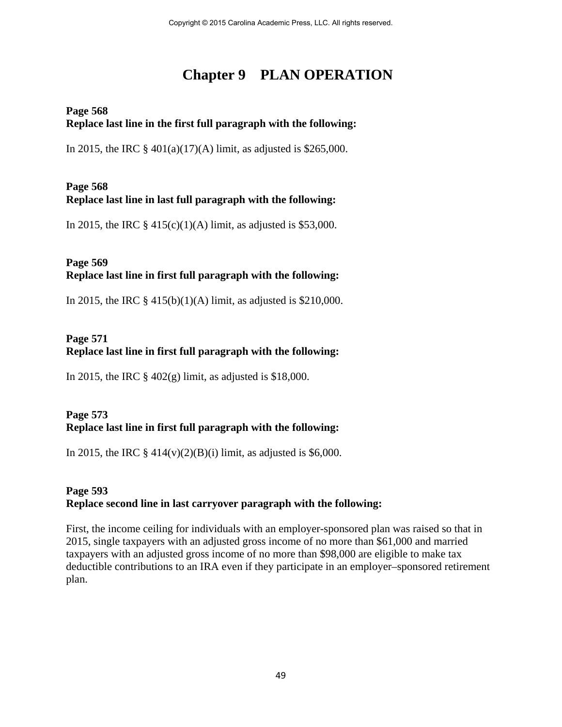## **Chapter 9 PLAN OPERATION**

### **Page 568 Replace last line in the first full paragraph with the following:**

In 2015, the IRC § 401(a)(17)(A) limit, as adjusted is \$265,000.

## **Page 568 Replace last line in last full paragraph with the following:**

In 2015, the IRC  $\S 415(c)(1)(A)$  limit, as adjusted is \$53,000.

### **Page 569 Replace last line in first full paragraph with the following:**

In 2015, the IRC § 415(b)(1)(A) limit, as adjusted is \$210,000.

## **Page 571 Replace last line in first full paragraph with the following:**

In 2015, the IRC  $\S 402(g)$  limit, as adjusted is \$18,000.

### **Page 573 Replace last line in first full paragraph with the following:**

In 2015, the IRC  $\S 414(v)(2)(B)(i)$  limit, as adjusted is \$6,000.

## **Page 593 Replace second line in last carryover paragraph with the following:**

First, the income ceiling for individuals with an employer-sponsored plan was raised so that in 2015, single taxpayers with an adjusted gross income of no more than \$61,000 and married taxpayers with an adjusted gross income of no more than \$98,000 are eligible to make tax deductible contributions to an IRA even if they participate in an employer–sponsored retirement plan.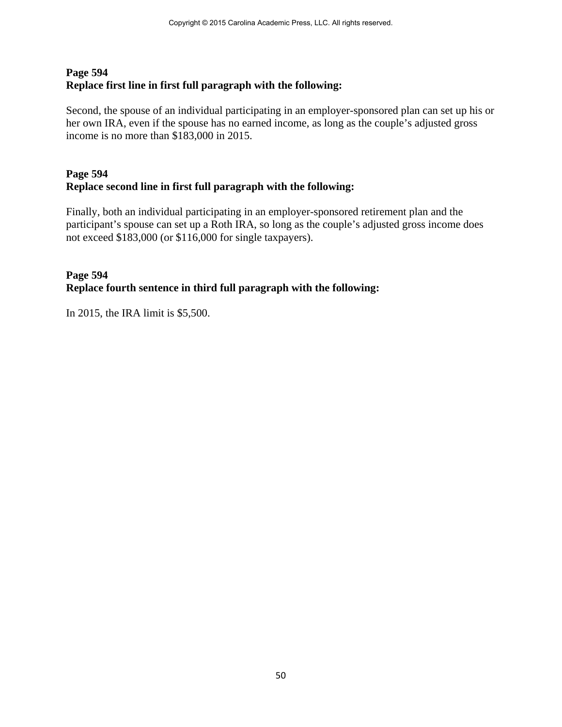### **Page 594 Replace first line in first full paragraph with the following:**

Second, the spouse of an individual participating in an employer-sponsored plan can set up his or her own IRA, even if the spouse has no earned income, as long as the couple's adjusted gross income is no more than \$183,000 in 2015.

### **Page 594 Replace second line in first full paragraph with the following:**

Finally, both an individual participating in an employer-sponsored retirement plan and the participant's spouse can set up a Roth IRA, so long as the couple's adjusted gross income does not exceed \$183,000 (or \$116,000 for single taxpayers).

### **Page 594 Replace fourth sentence in third full paragraph with the following:**

In 2015, the IRA limit is \$5,500.